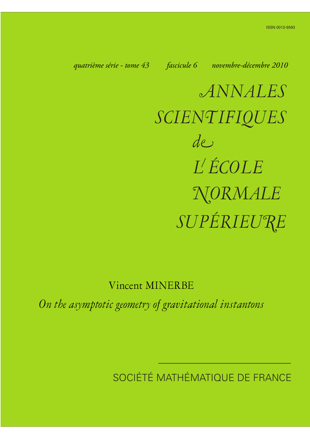*quatrième série - tome 43 fascicule 6 novembre-décembre 2010*

*ANNALES SCIENTIFIQUES SUPÉRIEURE de L ÉCOLE NORMALE*

Vincent MINERBE

*On the asymptotic geometry of gravitational instantons*

SOCIÉTÉ MATHÉMATIQUE DE FRANCE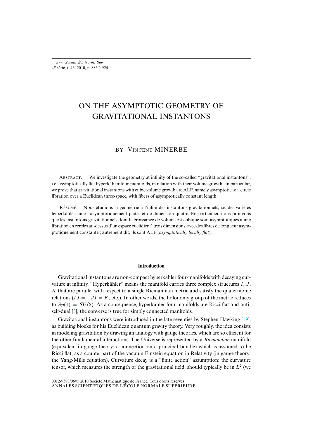*Ann. Scient. Éc. Norm. Sup.* 4 e série, t. 43, 2010, p. 883 à 924

# ON THE ASYMPTOTIC GEOMETRY OF GRAVITATIONAL INSTANTONS

## BY VINCENT MINERBE

ABSTRACT. – We investigate the geometry at infinity of the so-called "gravitational instantons", i.e. asymptotically flat hyperkähler four-manifolds, in relation with their volume growth. In particular, we prove that gravitational instantons with cubic volume growth are ALF, namely asymptotic to a circle fibration over a Euclidean three-space, with fibers of asymptotically constant length.

R. – Nous étudions la géométrie à l'infini des instantons gravitationnels, i.e. des variétés hyperkählériennes, asymptotiquement plates et de dimension quatre. En particulier, nous prouvons que les instantons gravitationnels dont la croissance de volume est cubique sont asymptotiques à une fibration en cercles au-dessus d'un espace euclidien à trois dimensions, avec des fibres de longueur asymptotiquement constante ; autrement dit, ils sont ALF (*asymptotically locally flat*).

#### **Introduction**

Gravitational instantons are non-compact hyperkähler four-manifolds with decaying curvature at infinity. "Hyperkähler" means the manifold carries three complex structures  $I, J$ , K that ar[e p](#page-41-0)arallel with respect to a single Riemannian metric and satisfy the quaternionic relations ( $IJ = -JI = K$ , etc.). In other words, the holonomy group of the metric red[uce](#page-42-0)s to  $Sp(1) = SU(2)$ . As a consequence, hyperkähler four-manifolds are Ricci flat and antiself-dual [3]; the converse is true for simply connected manifolds.

Gravitational instantons were introduced in the late seventies by Stephen Hawking [19], as building blocks for his Euclidean quantum gravity theory. Very roughly, the idea consists in modeling gravitation by drawing an analogy with gauge theories, which are so efficient for the other fundamental interactions. The Universe is represented by a *Riemannian* manifold (equivalent in gauge theory: a connection on a principal bundle) which is assumed to be Ricci flat, as a counterpart of the vacuum Einstein equation in Relativity (in gauge theory: the Yang-Mills equation). Curvature decay is a "finite action" assumption: the curvature tensor, which measures the strength of the gravitational field, should typically be in  $L^2$  (we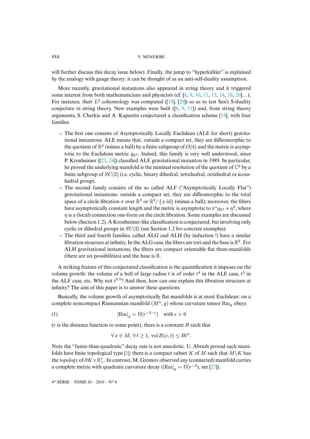will further discuss this decay issue below). Finally, the jum[p t](#page-41-1)[o "](#page-41-2)[hyp](#page-41-3)[erk](#page-41-4)[ähle](#page-41-5)[r" i](#page-41-6)[s ex](#page-42-1)[plai](#page-42-2)ned by the analogy with gauge theory: it can be thought [of a](#page-42-1)s [an a](#page-42-2)nti-self-duality assumption.

More recently, gravitational instantons also appeare[d](#page-41-1) i[n](#page-41-2) [strin](#page-41-4)g theory and it triggered some interest from both mathematicians and physicists (cf.  $[8, 9, 10, 11, 13, 14, 18, 20]$  $[8, 9, 10, 11, 13, 14, 18, 20]$  $[8, 9, 10, 11, 13, 14, 18, 20]$ ...). For instance, their  $L^2$  cohomology was computed ([18], [20]) so as to test Sen's S-duality conjecture in string theory. New examples were built  $([8, 9, 11])$  and, from string theory arguments, S. Cherkis and A. Kapustin conjectured a classification scheme [14], with four families.

- **–** The first one consists of Asymptotically Locally Euclidean (ALE for short) gravitational instanton[s. A](#page-42-3)[LE](#page-42-4) means that, outside a compact set, they are diffeomorphic to the quotient of  $\mathbb{R}^4$  (minus a ball) by a finite subgroup of  $O(4)$  and the metric is asymptotic to the Euclidean metric  $g_{\mathbb{R}^4}$ . Indeed, this family is very well understood, since P. Kronheimer ([23, 24]) classified ALE gravitational instanton in 1989. In particular, he proved the underlying manifold is the minimal resolution of the quotient of  $\mathbb{C}^2$  by a finite subgroup of SU(2) (i.e. cyclic, binary dihedral, tetrahedral, octahedral or icosahedral group).
- **–** The second family consists of the so called ALF ("Asymptotically Locally Flat") gravitational instantons: outside a compact set, they are diffeomorphic to the total space of a circle fibration  $\pi$  over  $\mathbb{R}^3$  or  $\mathbb{R}^3/\{\pm id\}$  (minus a ball); moreover, the fibers have asymptotically constant length and the metric is asymptotic to  $\pi^* g_{\mathbb{R}^3} + \eta^2$ , where  $\eta$  is a (local) connection one-form on the circle fibration. Some examples are discussed below (Section 1.2). A Kronheimer-like classification is conjectured, but involving only cyclic or dihedral groups in SU(2) (see Section 1.2 for concrete examples).
- **–** The third and fourth families, called ALG and ALH (by induction !) have a similar fibration structure at infinity. In the ALG case, the fibers are tori and the base is  $\mathbb{R}^2$ . For ALH gravitational instantons, the fibers are compact orientable flat three-manifolds (there are six possibilities) and the base is  $\mathbb{R}$ .

A striking feature of this conjectured classification is the quantification it imposes on the volume growth: the volume of a ball of large radius t is of order  $t^4$  in the ALE case,  $t^3$  in the ALF case, etc. Why not  $t^{3.5}$ ? And then, how can one explain this fibration structure at infinity? The aim of this paper is to answer these questions.

Basically, the volume growth of asymptotically flat manifolds is at most Euclidean: on a complete noncompact Riemannian manifold  $(M^n, g)$  whose curvature tensor  $\mathbb{R}_{mg}$  obeys

(1) 
$$
|\text{Rm}|_g = \mathcal{O}(r^{-2-\epsilon}) \quad \text{with } \epsilon > 0
$$

 $(r)$  is the distance function to some point), there is a constant  $B$  such that

<span id="page-2-0"></span>
$$
\forall x \in M, \,\forall t \ge 1, \,\text{vol}\,B(x,t) \le Bt^n.
$$

Note the "faster-than-quadratic" decay rate is not anecdotic. U. Abresh [pro](#page-42-5)ved such manifolds have finite topological type [1]: there is a compact subset K of M such that  $M\backslash K$  has the *topology* of  $\partial K \times \mathbb{R}^*_+$ . In contrast, M. Gromov observed any (connected) manifold carries a complete metric with quadratic curvature decay ( $|\text{Rm}|_g = \Theta(r^{-2})$ , see [27]).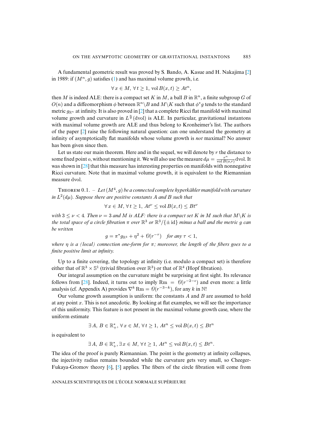A fundamental geometric result was proved by S. Bando, A. Kasue and H. Nakajima [2] in 1989: if  $(M^n, g)$  satisfies (1) and has maximal volume growth, i.e.

$$
\forall x \in M, \,\forall t \ge 1, \,\text{vol}\,B(x,t) \ge At^n,
$$

then M is indeed ALE: there is a compact set K in M, a ball B in  $\mathbb{R}^n$ , a finite subgroup G of  $O(n)$  and a diffeomorphism  $\phi$  between  $\mathbb{R}^n\backslash B$  and  $M\backslash K$  such that  $\phi^*g$  tends to the standard metric  $g_{\mathbb{R}^n}$  at [infi](#page-41-8)nity. It is also proved in [2] that a complete Ricci flat manifold with maximal volume growth and curvature in  $L^{\frac{n}{2}}(\text{dvol})$  is ALE. In particular, gravitational instantons with maximal volume growth are ALE and thus belong to Kronheimer's list. The authors of the paper [2] raise the following natural question: can one understand the geometry at infinity of asymptotically flat manifolds whose volume growth is *not* maximal? No answer has been give[n sin](#page-42-6)ce then.

Let us state our main theorem. Here and in the sequel, we will denote by  $r$  the distance to some fixed point *o*, without mentioning it. We will also use the measure  $d\mu = \frac{r^n}{\text{vol }B}$  $\frac{r^{\alpha}}{\text{vol }B(o,r)}$ dvol. It was shown in [28] that this measure has interesting properties on manifolds with nonnegative Ricci curvature. Note that in maximal volume growth, it is equivalent to the Riemannian measure dvol.

THEOREM  $0.1. - Let(M^4, g)$  be a connected complete hyperkähler manifold with curvature *in*  $L^2(d\mu)$ *. Suppose there are positive constants* A *and* B *such that* 

$$
\forall x \in M, \forall t \ge 1, At^{\nu} \le \text{vol } B(x, t) \le Bt^{\nu}
$$

*with*  $3 \leq v < 4$ *. Then*  $v = 3$  *and* M *is ALF: there is a compact set* K *in* M *such that*  $M\ K$  *is the total space of a circle fibration*  $\pi$  *over*  $\mathbb{R}^3$  *or*  $\mathbb{R}^3/\{\pm \operatorname{id}\}$  *minus a ball and the metric g can be written*

$$
g = \pi^* g_{\mathbb{R}^3} + \eta^2 + \mathcal{O}(r^{-\tau}) \quad \text{for any } \tau < 1,
$$

*where* η *is a (local) connection one-form for* π*; moreover, the length of the fibers goes to a finite positive limit at infinity.*

Up to a fi[nite](#page-42-6) covering, the topology at infinity (i.e. modulo a compact set) is therefore either that of  $\mathbb{R}^3 \times \mathbb{S}^1$  (trivial fibration over  $\mathbb{R}^3$ ) or that of  $\mathbb{R}^4$  (Hopf fibration).

Our integral assumption on the curvature might be surprising at first sight. Its relevance follows from [28]. Indeed, it turns out to imply  $\mathrm{Rm} = \mathcal{O}(r^{-2-\epsilon})$  and even more: a little analysis (cf. Appendix A) provides  $\nabla^k \text{Rm} = \mathcal{O}(r^{-3-k})$ , for any k in N!

Our volume growth assumption is uniform: the constants  $A$  and  $B$  are assumed to hold at any point  $x$ . This is not anecdotic. By looking at flat examples, we will see the importance of this uniformity. This feature is not present in the maximal volume growth case, where the uniform estimate

$$
\exists A, B \in \mathbb{R}_+^*, \forall x \in M, \forall t \ge 1, At^n \le \text{vol } B(x,t) \le Bt^n
$$

is equivalent to

$$
\exists A, B \in \mathbb{R}_+^*, \exists x \in M, \forall t \ge 1, At^n \le \text{vol}\,B(x,t) \le Bt^n.
$$

The idea of the proof is purely Riemannian. The point is the geometry at infinity collapses, the injectivity radius remains bounded while the curvature gets very small, so Cheeger-Fukaya-Gromov theory [6], [5] applies. The fibers of the circle fibration will come from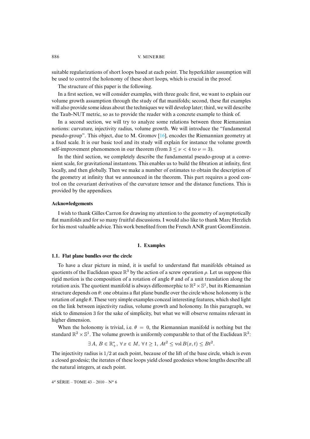suitable regularizations of short loops based at each point. The hyperkähler assumption will be used to control the holonomy of these short loops, which is crucial in the proof.

The structure of this paper is the following.

In a first section, we will consider examples, with three goals: first, we want to explain our volume growth assumption through the study of flat manifolds; second, these flat examples will also provide some ideas about the techniques we will develop later; third, we will describe the Taub-NUT metric, so as to provide the reade[r w](#page-42-7)ith a concrete example to think of.

In a second section, we will try to analyze some relations between three Riemannian notions: curvature, injectivity radius, volume growth. We will introduce the "fundamental pseudo-group". This object, due to M. Gromov [16], encodes the Riemannian geometry at a fixed scale. It is our basic tool and its study will explain for instance the volume growth self-improvement phenomenon in our theorem (from  $3 \le \nu < 4$  to  $\nu = 3$ ).

In the third section, we completely describe the fundamental pseudo-group at a convenient scale, for gravitational instantons. This enables us to build the fibration at infinity, first locally, and then globally. Then we make a number of estimates to obtain the description of the geometry at infinity that we announced in the theorem. This part requires a good control on the covariant derivatives of the curvature tensor and the distance functions. This is provided by the appendices.

## **Acknowledgements**

I wish to thank Gilles Carron for drawing my attention to the geometry of asymptotically flat manifolds and for so many fruitful discussions. I would also like to thank Marc Herzlich for his most valuable advice. This work benefited from the French ANR grant GeomEinstein.

#### **1. Examples**

## **1.1. Flat plane bundles over the circle**

To have a clear picture in mind, it is useful to understand flat manifolds obtained as quotients of the Euclidean space  $\mathbb{R}^3$  by the action of a screw operation  $\rho$ . Let us suppose this rigid motion is the composition of a rotation of angle  $\theta$  and of a unit translation along the rotation axis. The quotient manifold is always diffeomorphic to  $\mathbb{R}^2\times\mathbb{S}^1$ , but its Riemannian structure depends on  $\theta$ : one obtains a flat plane bundle over the circle whose holonomy is the rotation of angle  $\theta$ . These very simple examples conceal interesting features, which shed light on the link between injectivity radius, volume growth and holonomy. In this paragraph, we stick to dimension 3 for the sake of simplicity, but what we will observe remains relevant in higher dimension.

When the holonomy is trivial, i.e.  $\theta = 0$ , the Riemannian manifold is nothing but the standard  $\mathbb{R}^2 \times \mathbb{S}^1$ . The volume growth is uniformly comparable to that of the Euclidean  $\mathbb{R}^2$ :

$$
\exists A, B \in \mathbb{R}_+^*, \ \forall x \in M, \ \forall t \ge 1, \ At^2 \le \text{vol}\,B(x,t) \le Bt^2.
$$

The injectivity radius is  $1/2$  at each point, because of the lift of the base circle, which is even a closed geodesic; the iterates of these loops yield closed geodesics whose lengths describe all the natural integers, at each point.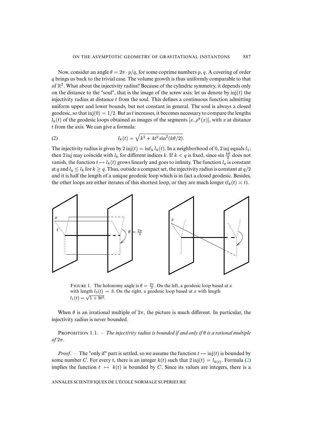Now, consider an angle  $\theta = 2\pi \cdot p/q$ , for some coprime numbers p, q. A covering of order q brings us back to the trivial case. The volume growth is thus uniformly comparable to that of  $\mathbb{R}^2$ . What about the injectivity radius? Because of the cylindric symmetry, it depends only on the distance to the "soul", that is the image of the screw axis: let us denote by  $\text{inj}(t)$  the injectivity radius at distance  $t$  from the soul. This defines a continuous function admitting uniform upper and lower bounds, but not constant in general. The soul is always a closed geodesic, so that  $inj(0) = 1/2$ . But as t increases, it becomes necessary to compare the lengths  $l_k(t)$  of the geodesic loops obtained as images of the segments  $[x, \rho^k(x)]$ , with x at distance t from the axis. We can give a formula:

<span id="page-5-0"></span>(2) 
$$
l_k(t) = \sqrt{k^2 + 4t^2 \sin^2(k\theta/2)}.
$$

The injectivity radius is given by  $2 \text{ inj}(t) = \inf_k l_k(t)$ . In a neighborhood of 0, 2 inj equals  $l_1$ ; then 2 inj may coincide with  $l_k$  for different indices k. If  $k < q$  is fixed, since  $\sin \frac{k\theta}{2}$  does not vanish, the function  $t \mapsto l_k(t)$  grows linearly and goes to infinity. The function  $l_q$  is constant at q and  $l_q \leq l_k$  for  $k \geq q$ . Thus, outside a compact set, the injectivity radius is constant at  $q/2$ and it is half the length of a unique geodesic loop which is in fact a closed geodesic. Besides, the other loops are either iterates of this shortest loop, or they are much longer  $(l_k(t) \ge t)$ .



FIGURE 1. The holonomy angle is  $\theta = \frac{2\pi}{3}$ . On the left, a geodesic loop based at x with length  $l_3(t) = 3$ . On the right, a geodesic loop based at x with length  $l_1(t) = \sqrt{1+9t^2}$ .

When  $\theta$  is an irrational multiple of  $2\pi$ , the picture is much different. In particular, the injectivity radius is never bounded.

PROPOSITION 1.1. – *The injectivity radius is bounded if and only if*  $\theta$  *is a rational multiple of* 2π*.*

*Proof.* – The "only if" part is settled, so we assume the function  $t \mapsto \text{inj}(t)$  is bounded by some number C. For every t, there is an integer  $k(t)$  such that  $2 \text{ inj}(t) = l_{k(t)}$ . Formula (2) implies the function  $t \mapsto k(t)$  is bounded by C. Since its values are integers, there is a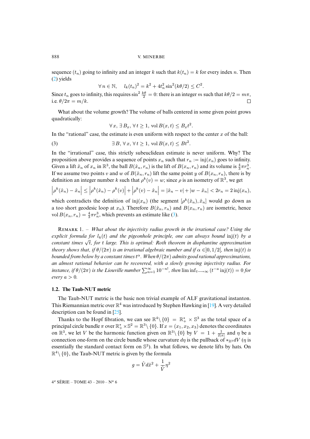sequence  $(t_n)$  going to infinity and an integer k such that  $k(t_n) = k$  for every index n. Then (2) yields

$$
\forall n \in \mathbb{N}, \quad l_k(t_n)^2 = k^2 + 4t_n^2 \sin^2(k\theta/2) \leq C^2.
$$

Since  $t_n$  goes to infinity, this requires  $\sin^2 \frac{k\theta}{2} = 0$ : there is an integer m such that  $k\theta/2 = m\pi$ , i.e.  $\theta/2\pi = m/k$ .

What about the volume growth? The volume of balls centered in some given point grows quadratically:

<span id="page-6-0"></span>
$$
\forall x, \exists B_x, \forall t \ge 1, \text{ vol } B(x, t) \le B_x t^2.
$$

In the "rational" case, the estimate is even uniform with respect to the center  $x$  of the ball:

(3)  $\exists B, \forall x, \forall t \geq 1, \text{vol } B(x,t) \leq Bt^2.$ 

In the "irrational" case, this strictly subeuclidean estimate is never uniform. Why? The proposition above provides a sequence of points  $x_n$  such that  $r_n := \text{inj}(x_n)$  goes to infinity. Given a lift  $\hat{x}_n$  of  $x_n$  in  $\mathbb{R}^3$ , the ball  $B(\hat{x}_n, r_n)$  is the lift of  $B(x_n, r_n)$  and its volume is  $\frac{4}{3}\pi r_n^3$ . If we assume two points v and w of  $B(\hat{x}_n, r_n)$  lift the same point y of  $B(x_n, r_n)$ , there is by definition an integer number k such that  $\rho^k(v) = w$ ; since  $\rho$  is an isometry of  $\mathbb{R}^3$ , we get

$$
\left|\rho^{k}(\hat{x}_{n}) - \hat{x}_{n}\right| \leq \left|\rho^{k}(\hat{x}_{n}) - \rho^{k}(v)\right| + \left|\rho^{k}(v) - \hat{x}_{n}\right| = |\hat{x}_{n} - v| + |w - \hat{x}_{n}| < 2r_{n} = 2\operatorname{inj}(x_{n}),
$$

which contradicts the definition of inj $(x_n)$  (the segment  $\left[\rho^k(\hat{x}_n), \hat{x}_n\right]$  would go down as a too short geodesic loop at  $x_n$ ). Therefore  $B(\hat{x}_n, r_n)$  and  $B(x_n, r_n)$  are isometric, hence vol  $B(x_n, r_n) = \frac{4}{3}\pi r_n^3$ , which prevents an estimate like (3).

R 1. – *What about the injectivity radius growth in the irrational case? Using the explicit formula for*  $l_k(t)$  *and the pigeonhole principle, one can always bound* inj(t) *by a constant times* <sup>√</sup> t*, for* t *large. This is optimal: Roth theorem in diophantine approximation theory shows that, if*  $\theta/(2\pi)$  *is an irrational algebraic number and if*  $\alpha \in ]0,1/2[$ *, then*  $\text{inj}(t)$  *is bounded from below by a constant times*t <sup>α</sup>*. When* θ/(2π) *admits good rational approximations, an almost rational behavior can be recovered, with a slowly growing injectivity radius. For instance, if*  $\theta/(2\pi)$  *is the Liouville number*  $\sum_{n=1}^{\infty} 10^{-n!}$ *, then*  $\liminf_{t\to\infty} (t^{-a} \text{ inj}(t)) = 0$  *for*  $every a > 0.$ 

## **1.2. The Taub-NUT metric**

The Taub-NUT metric is the basic non trivial example of ALF gravitational instanton. This Riemannian metric over  $\mathbb{R}^4$  was introduced by Stephen Hawking in [19]. A very detailed description can be found in [25].

Thanks to the Hopf fibration, we can see  $\mathbb{R}^4 \setminus \{0\} = \mathbb{R}_+^* \times \mathbb{S}^3$  as the total space of a principal circle bundle  $\pi$  over  $\mathbb{R}_+^* \times \mathbb{S}^2 = \mathbb{R}^3 \setminus \{0\}$ . If  $x = (x_1, x_2, x_3)$  denotes the coordinates on  $\mathbb{R}^3$ , we let V be the harmonic function given on  $\mathbb{R}^3\setminus\{0\}$  by  $V = 1 + \frac{1}{2|x|}$  and  $\eta$  be a connection one-form on the circle bundle whose curvature  $d\eta$  is the pullback of ∗R<sub>3</sub> dV ( $\eta$  is essentially the standard contact form on  $\mathbb{S}^3$ ). In what follows, we denote lifts by hats. On  $\mathbb{R}^4 \setminus \{0\}$ , the Taub-NUT metric is given by the formula

$$
g = \hat{V}d\hat{x}^2 + \frac{1}{\hat{V}}\eta^2
$$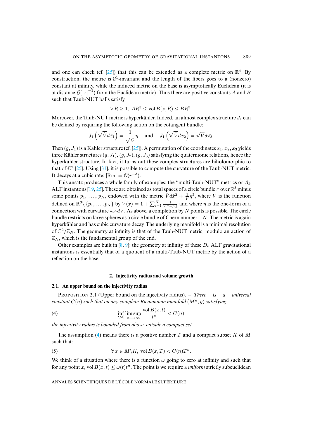and one can check (cf. [25]) that this can be extended as a complete metric on  $\mathbb{R}^4$ . By construction, the metric is  $\mathbb{S}^1$ -invariant and the length of the fibers goes to a (nonzero) constant at infinity, while the induced metric on the base is asymptotically Euclidean (it is at distance  $\mathcal{O}(|x|^{-1})$  from the Euclidean metric). Thus there are positive constants A and B such that Taub-NUT balls satisfy

$$
\forall R \ge 1, AR^3 \le \text{vol } B(z, R) \le BR^3.
$$

Moreover, the Taub-NUT metric is hyperkähler. Indeed, an almost complex structure  $J_1$  can be defined by requiring the following [act](#page-42-8)ion on the cotangent bundle:

$$
J_1\left(\sqrt{\hat{V}}d\hat{x_1}\right) = \frac{1}{\sqrt{\hat{V}}}\eta \quad \text{ and } \quad J_1\left(\sqrt{\hat{V}}d\hat{x_2}\right) = \sqrt{V}d\hat{x_3}.
$$

Then  $(g, J_1)$  [is](#page-42-8) a Kähle[r str](#page-42-9)ucture (cf. [25]). A permutation of the coordinates  $x_1, x_2, x_3$  yields three Kähler structures  $(g, J_1), (g, J_2), (g, J_3)$  satisfying the quaternionic relations, hence the hyperkähler structure. In fact, it turns out these complex structures are biholomorphic to that of  $\mathbb{C}^2$  [25]. [Usin](#page-42-0)[g \[3](#page-42-8)1], it is possible to compute the curvature of the Taub-NUT metric. It decays at a cubic rate:  $|\text{Rm}| = \mathcal{O}(r^{-3})$ .

This ansatz produces a whole family of examples: the "multi-Taub-NUT" metrics or  $A_k$ ALF instantons [19, 25]. These are obtained as total spaces of a circle bundle  $\pi$  over  $\mathbb{R}^3$  minus some points  $p_1, \ldots, p_N$ , endowed with the metric  $\hat{V} d\hat{x}^2 + \frac{1}{\hat{V}} \eta^2$ , where V is the function defined on  $\mathbb{R}^3 \setminus \{p_1, \ldots, p_N\}$  by  $V(x) = 1 + \sum_{i=1}^N \frac{1}{2|x-p_i|}$  and where  $\eta$  is the one-form of a connection with curvature  $*_\mathbb{R}3 dV$ . As above, a completion by N points is possible. The circle bundle restricts on large spheres as a circle bundle of Chern number  $-N$ . The metric is again hyperkähler and has cubic cur[vat](#page-41-1)[ure](#page-41-2) decay. The underlying manifold is a minimal resolution of  $\mathbb{C}^2/\mathbb{Z}_N$ . The geometry at infinity is that of the Taub-NUT metric, modulo an action of  $\mathbb{Z}_N$ , which is the fundamental group of the end.

Other examples are built in [8, 9]: the geometry at infinity of these  $D_k$  ALF gravitational instantons is essentially that of a quotient of a multi-Taub-NUT metric by the action of a reflection on the base.

## <span id="page-7-1"></span><span id="page-7-0"></span>**2. Injectivity radius and volume growth**

#### <span id="page-7-2"></span>**2.1. An upper bound on the injectivity radius**

P 2.1 (Upper bound on the injectivity radius). – *There is a universal constant*  $C(n)$  *such that on any complete Riemannian manifold*  $(M^n, q)$  *satisfying* 

(4) 
$$
\inf_{t>0} \limsup_{x \to \infty} \frac{\text{vol } B(x,t)}{t^n} < C(n),
$$

*the injectivity radius is bounded from above, outside a compact set.*

The assumption (4) means there is a positive number T and a compact subset K of M such that:

(5) 
$$
\forall x \in M \backslash K, \text{ vol } B(x,T) < C(n)T^n.
$$

We think of a situation where there is a function  $\omega$  going to zero at infinity and such that for any point x, vol  $B(x,t) \leq \omega(t)t^n$ . The point is we require a *uniform* strictly subeuclidean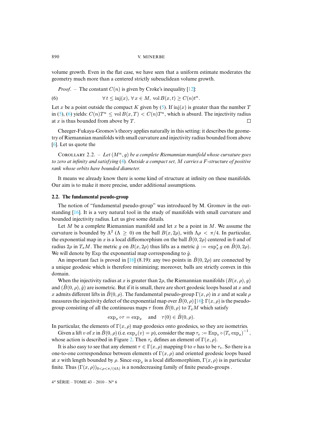volume growth. Even in the flat case, we have seen that a uni[form](#page-41-11) estimate moderates the geometry much more than a centered strictly subeuclidean volume growth.

<span id="page-8-0"></span>*Proof.* – The constant 
$$
C(n)
$$
 is given by Croke's inequality [12]:

(6) 
$$
\forall t \leq inj(x), \forall x \in M, \text{ vol } B(x,t) \geq C(n)t^{n}
$$

Let x be a point outside the compact K given by (5). If inj(x) is greater than the number T in (5), (6) yields:  $C(n)T^n \le \text{vol } B(x,T) < C(n)T^n$ , which is absurd. The injectivity radius [at](#page-41-9)  $x$  is thus bounded from above by  $T$ .  $\Box$ 

.

Cheeger-Fukaya-Gromov's theory applies naturally in this setting: it describes the geometry of Riemannian manifolds wi[th](#page-7-1) small curvature and injectivity radius bounded from above [6]. Let us quote the

COROLLARY 2.2. – Let  $(M^n, g)$  be a complete Riemannian manifold whose curvature goes *to zero at infinity and satisfying* (4)*. Outside a compact set,* M *carries a* F*-structure of positive rank whose orbits have bounded diameter.*

It means we already know there is some kind of structure at infinity on these manifolds. Our aim is to make it more precise, under additional assumptions.

#### **2.2. The fundamental pseudo-group**

The notion of "fundamental pseudo-group" was introduced by M. Gromov in the outstanding [16]. It is a very natural tool in the study of manifolds with small curvature and bounded injectivity radius. Let us give some details.

Let M be a complete Riemannian manifold and let x be a point in M. We assume the curvature is bounded by  $\Lambda^2$  ( $\Lambda \geq 0$ ) on the ball  $B(x, 2\rho)$ , with  $\Lambda \rho < \pi/4$ . In particular, the exponential map in x is a local [di](#page-42-7)ffeomorphism on the ball  $\hat{B}(0, 2\rho)$  centered in 0 and of radius  $2\rho$  in  $T_xM$ . The metric g on  $B(x, 2\rho)$  thus lifts as a metric  $\hat{g} := \exp_x^* g$  on  $\hat{B}(0, 2\rho)$ . We will denote by Exp the exponential map corresponding to  $\hat{g}$ .

An important fact is proved in [16] (8.19): any two points in  $\hat{B}(0, 2\rho)$  are connected by a unique geodesic which is therefore minimizing; moreover, balls are strictly convex in this domain.

When the injectivity radius at x is greater than  $2\rho$ , the Riemann[ian](#page-42-7) manifolds  $(B(x, \rho), g)$ and  $(\hat{B}(0,\rho),\hat{g})$  are isometric. But if it is small, there are short geodesic loops based at x and x admits different lifts in  $\hat{B}(0, \rho)$ . The fundamental pseudo-group  $\Gamma(x, \rho)$  in x and at scale  $\rho$ measures the injectivity defect of the exponential map over  $\hat{B}(0, \rho)$  [16]:  $\Gamma(x, \rho)$  is the pseudogroup consisting of all the continuous maps  $\tau$  from  $\hat{B}(0, \rho)$  to  $T_xM$  which satisfy

$$
\exp_x \circ \tau = \exp_x
$$
 and  $\tau(0) \in \hat{B}(0, \rho)$ .

In particular, the elements of  $\Gamma(x, \rho)$  map geodesics onto geodesics, so they are isometries.

Given a lift v of x in  $\hat{B}(0, \rho)$  (i.e.  $\exp_x(v) = p$ ), consider the map  $\tau_v := \exp_v \circ (T_v \exp_x)^{-1}$ , whose action is described in Figure 2. Then  $\tau_v$  defines an element of  $\Gamma(x, \rho)$ .

It is also easy to see that any element  $\tau \in \Gamma(x, \rho)$  mapping 0 to v has to be  $\tau_v$ . So there is a one-to-one correspondence between elements of  $\Gamma(x, \rho)$  and oriented geodesic loops based at x with length bounded by  $\rho$ . Since  $\exp_x$  is a local diffeomorphism,  $\Gamma(x, \rho)$  is in particular finite. Thus  $(\Gamma(x,\rho))_{0\leq \rho \leq \pi/(4\Lambda)}$  is a nondecreasing family of finite pseudo-groups.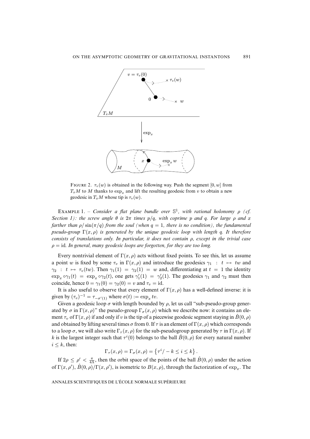

<span id="page-9-0"></span>FIGURE 2.  $\tau_v(w)$  is obtained in the following way. Push the segment [0, w] from  $T_xM$  to M thanks to  $\exp_x$  and lift the resulting geodesic from v to obtain a new geodesic in  $T_xM$  whose tip is  $\tau_v(w)$ .

EXAMPLE 1. – *Consider a flat plane bundle over*  $\mathbb{S}^1$ , with rational holonomy  $\rho$  (*cf. Section 1): the screw angle*  $\theta$  *is*  $2\pi$  *times*  $p/q$ *, with coprime* p *and* q. For large  $\rho$  *and* x *farther than*  $\rho / \sin(\pi/q)$  *from the soul (when*  $q = 1$ , *there is no condition), the fundamental pseudo-group*  $\Gamma(x, \rho)$  *is generated by the unique geodesic loop with length q. It therefore consists of translations only. In particular, it does not contain* ρ*, except in the trivial case*  $\rho = id$ . In general, many geodesic loops are forgotten, for they are too long.

Every nontrivial element of  $\Gamma(x, \rho)$  acts without fixed points. To see this, let us assume a point w is fixed by some  $\tau_v$  in  $\Gamma(x, \rho)$  and introduce the geodesics  $\gamma_1 : t \mapsto tw$  and  $\gamma_2$  :  $t \mapsto \tau_v(tw)$ . Then  $\gamma_1(1) = \gamma_2(1) = w$  and, differentiating at  $t = 1$  the identity  $\exp_x \circ \gamma_1(t) = \exp_x \circ \gamma_2(t)$ , one gets  $\gamma_1'(1) = \gamma_2'(1)$ . The geodesics  $\gamma_1$  and  $\gamma_2$  must then coincide, hence  $0 = \gamma_1(0) = \gamma_2(0) = v$  and  $\tau_v = id$ .

It is also useful to observe that every element of  $\Gamma(x, \rho)$  has a well-defined inverse: it is given by  $(\tau_v)^{-1} = \tau_{-\sigma'(1)}$  where  $\sigma(t) := \exp_x tv$ .

Given a geodesic loop  $\sigma$  with length bounded by  $\rho$ , let us call "sub-pseudo-group generated by  $\sigma$  in  $\Gamma(x, \rho)$ " the pseudo-group  $\Gamma_{\sigma}(x, \rho)$  which we describe now: it contains an element  $\tau_v$  of  $\Gamma(x, \rho)$  if and only if v is the tip of a piecewise geodesic segment staying in  $\hat{B}(0, \rho)$ and obtained by lifting several times  $\sigma$  from 0. If  $\tau$  is an element of  $\Gamma(x, \rho)$  which corresponds to a loop  $\sigma$ , we will also write  $\Gamma_\tau(x, \rho)$  for the sub-pseudogroup generated by  $\tau$  in  $\Gamma(x, \rho)$ . If k is the largest integer such that  $\tau^{i}(0)$  belongs to the ball  $\hat{B}(0,\rho)$  for every natural number  $i \leq k$ , then:

$$
\Gamma_{\tau}(x,\rho) = \Gamma_{\sigma}(x,\rho) = \{ \tau^i / -k \le i \le k \}.
$$

If  $2\rho \le \rho' < \frac{\pi}{4\Lambda}$ , then the orbit space of the points of the ball  $\hat{B}(0, \rho)$  under the action of  $\Gamma(x, \rho), \hat{B}(0, \rho)/\Gamma(x, \rho)$ , is isometric to  $B(x, \rho)$ , through the factorization of  $\exp_x$ . The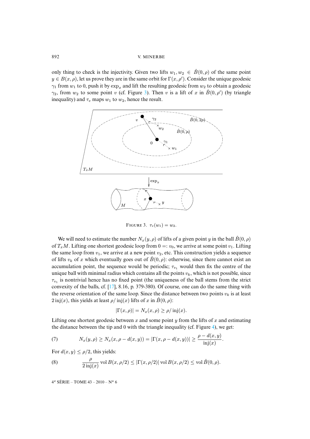only thing to check is the injectivity. Giv[en](#page-10-0) two lifts  $w_1, w_2 \in \hat{B}(0, \rho)$  of the same point  $y \in B(x, \rho)$ , let us prove they are in the same orbit for  $\Gamma(x, \rho')$ . Consider the unique geodesic  $\gamma_1$  from  $w_1$  to 0, push it by  $\exp_x$  and lift the resulting geodesic from  $w_2$  to obtain a geodesic  $\gamma_2$ , from  $w_2$  to some point v (cf. Figure 3). Then v is a lift of x in  $\hat{B}(0,\rho')$  (by triangle inequality) and  $\tau_v$  maps  $w_1$  to  $w_2$ , hence the result.



<span id="page-10-0"></span>FIGURE 3.  $\tau_v(w_1) = w_2$ .

We will need to estimate the number  $N_x(y, \rho)$  of lifts of a given point y in the ball  $\hat{B}(0, \rho)$ of  $T_xM$ . Lifting one shortest geodesic loop from  $0 =: v_0$ , we arrive at some point  $v_1$ . Lifting the same loop from  $v_1$ , we arrive at a new point  $v_2$ , etc. This construction yields a sequence of lifts  $v_k$  of x which eventually goes out of  $\hat{B}(0, \rho)$ : otherwise, since there cannot exist an accumulation point, the [sequ](#page-42-10)ence would be periodic;  $\tau_{v_1}$  would then fix the centre of the unique ball with minimal radius which contains all the points  $v_k$ , which is not possible, since  $\tau_{v_1}$  is nontrivial hence has no fixed point (the uniqueness of the ball stems from the strict convexity of the balls, cf. [17], 8.16, p. 379-380). Of course, one can do the same thing with the reverse orientation of the same loop. Since the distance between two points  $v_k$  is at least  $2\operatorname{inj}(x)$ , this yields at least  $\rho/\operatorname{inj}(x)$  lifts of x in  $\hat{B}(0,\rho)$ :

$$
|\Gamma(x,\rho)| = N_x(x,\rho) \ge \rho/\operatorname{inj}(x).
$$

Lifting one shortest geodesic between x and some point y from the lifts of x and estimating the distance between the tip and 0 with the triangle inequality (cf. Figure 4), we get:

<span id="page-10-1"></span>(7) 
$$
N_x(y,\rho) \ge N_x(x,\rho - d(x,y)) = |\Gamma(x,\rho - d(x,y))| \ge \frac{\rho - d(x,y)}{\text{inj}(x)}.
$$

For  $d(x, y) \leq \rho/2$ , this yields:

(8) 
$$
\frac{\rho}{2 \operatorname{inj}(x)} \operatorname{vol} B(x, \rho/2) \leq |\Gamma(x, \rho/2)| \operatorname{vol} B(x, \rho/2) \leq \operatorname{vol} \hat{B}(0, \rho).
$$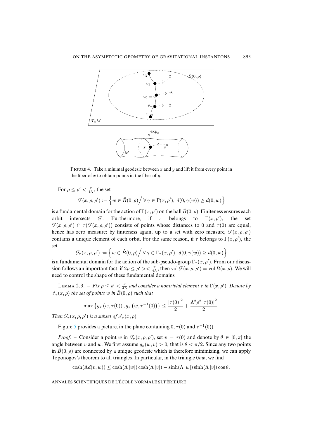

FIGURE 4. Take a minimal geodesic between x and y and lift it from every point in the fiber of  $x$  to obtain points in the fiber of  $y$ .

For  $\rho \leq \rho' < \frac{\pi}{4\Lambda}$ , the set

$$
\mathcal{F}(x,\rho,\rho'):=\Big\{w\in \hat{B}(0,\rho)\Big/\,\forall\,\gamma\in\Gamma(x,\rho'),\ d(0,\gamma(w))\geq d(0,w)\Big\}
$$

is a fundamental domain for the action of  $\Gamma(x, \rho')$  on the ball  $\hat{B}(0, \rho)$ . Finiteness ensures each orbit intersects  $\mathcal{F}$ . Furthermore, if  $\tau$  belongs to  $\Gamma(x, \rho')$ , ), the set  $\mathcal{F}(x,\rho,\rho') \cap \tau(\mathcal{F}(x,\rho,\rho'))$  consists of points whose distances to 0 and  $\tau(0)$  are equal, hence has zero measure: by finiteness again, up to a set with zero measure,  $\mathcal{F}(x, \rho, \rho')$ contains a unique element of each orbit. For the same reason, if  $\tau$  belongs to  $\Gamma(x, \rho')$ , the set

$$
\mathcal{F}_{\tau}(x,\rho,\rho') := \left\{ w \in \hat{B}(0,\rho) \middle/ \forall \gamma \in \Gamma_{\tau}(x,\rho'), d(0,\gamma(w)) \geq d(0,w) \right\}
$$

<span id="page-11-0"></span>is a fundamental domain for the action of the sub-pseudo-group  $\Gamma_\tau(x,\rho')$ . From our discussion follows an important fact: if  $2\rho \le \rho' > < \frac{\pi}{4\Lambda}$ , then vol  $\mathcal{F}(x, \rho, \rho') =$  vol  $B(x, \rho)$ . We will need to control the shape of these fundamental domains.

LEMMA 2.3. – *Fix*  $\rho \le \rho' < \frac{\pi}{4\Lambda}$  and consider a nontrivial element  $\tau$  in  $\Gamma(x, \rho')$ . Denote by  $\mathcal{I}_{\tau}(x,\rho)$  *the set of points* w *in*  $\hat{B}(0,\rho)$  *such that* 

$$
\max\left\{g_x\left(w,\tau(0)\right),g_x\left(w,\tau^{-1}(0)\right)\right\}\leq \frac{|\tau(0)|^2}{2}+\frac{\Lambda^2\rho^2\left|\tau(0)\right|^2}{2}.
$$

*Then*  $\mathcal{F}_{\tau}(x, \rho, \rho')$  *is a subset of*  $\mathcal{I}_{\tau}(x, \rho)$ *.* 

Figure 5 provides a picture, in the plane containing 0,  $\tau$ (0) and  $\tau^{-1}(0)$ ).

*Proof.* – Consider a point w in  $\mathcal{F}_{\tau}(x, \rho, \rho')$ , set  $v = \tau(0)$  and denote by  $\theta \in [0, \pi]$  the angle between v and w. We first assume  $g_x(w, v) > 0$ , that is  $\theta < \pi/2$ . Since any two points in  $\hat{B}(0, \rho)$  are connected by a unique geodesic which is therefore minimizing, we can apply Toponogov's theorem to all triangles. In particular, in the triangle  $0vw$ , we find

 $\cosh(\Lambda d(v, w)) \leq \cosh(\Lambda |w|) \cosh(\Lambda |v|) - \sinh(\Lambda |w|) \sinh(\Lambda |v|) \cos \theta.$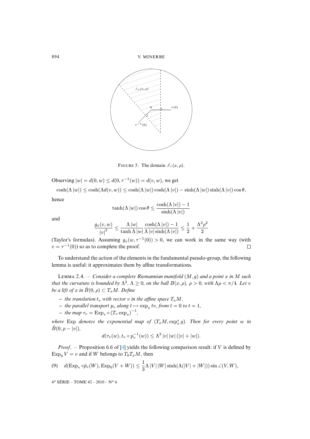

FIGURE 5. The domain  $\mathcal{I}_{\tau}(x, \rho)$ .

Observing  $|w| = d(0, w) \leq d(0, \tau^{-1}(w)) = d(v, w)$ , we get

 $\cosh(\Lambda |w|) \leq \cosh(\Lambda d(v, w)) \leq \cosh(\Lambda |w|) \cosh(\Lambda |v|) - \sinh(\Lambda |w|) \sinh(\Lambda |v|) \cos \theta,$ 

hence

$$
\tanh(\Lambda \,|w|) \cos \theta \leq \frac{\cosh(\Lambda \,|v|) - 1}{\sinh(\Lambda \,|v|)}
$$

and

$$
\frac{g_x(v, w)}{|v|^2} \le \frac{\Lambda |w|}{\tanh \Lambda |w|} \frac{\cosh(\Lambda |v|) - 1}{\Lambda |v| \sinh(\Lambda |v|)} \le \frac{1}{2} + \frac{\Lambda^2 \rho^2}{2}
$$

(Taylor's formulas). Assuming  $g_x(w, \tau^{-1}(0)) > 0$ , we can work in the same way (with  $v = \tau^{-1}(0)$ ) so as to complete the proof.  $\Box$ 

<span id="page-12-0"></span>To understand the action of the elements in the fundamental pseudo-group, the following lemma is useful: it approximates them by affine transformations.

LEMMA 2.4. – *Consider a complete Riemannian manifold*  $(M, g)$  *and a point* x *in* M such *that the curvature is bounded by*  $\Lambda^2$ ,  $\Lambda \geq 0$ *, on the ball*  $B(x, \rho)$ *,*  $\rho > 0$ *, with*  $\Lambda \rho < \pi/4$ *. Let v be a lift of* x in  $\hat{B}(0, \rho) \subset T_xM$ . Define

- $-$  *the translation*  $t_v$  *with vector*  $v$  *in the affine space*  $T_xM$ *,*
- $-$  *the parallel transport*  $p_v$  *along*  $t \mapsto \exp_x tv$ , from  $t = 0$  *to*  $t = 1$ *,*
- $-$  *the map*  $\tau_v = \text{Exp}_v \circ (T_v \exp_x)^{-1}$ ,

 $where$  Exp *denotes the exponential map of*  $(T_xM, \exp_x^* g)$ . Then for every point w in  $\hat{B}(0, \rho - |v|)$ ,

$$
d(\tau_v(w), t_v \circ p_v^{-1}(w)) \leq \Lambda^2 |v| |w| (|v| + |w|).
$$

*Proof*. – Proposition 6.6 of [4] yields the following comparison result: if V is defined by  $Exp_0 V = v$  and if W belongs to  $T_0 T_x M$ , then

(9) 
$$
d(\operatorname{Exp}_v \circ \hat{p}_v(W), \operatorname{Exp}_0(V+W)) \leq \frac{1}{3}\Lambda |V| |W| \sinh(\Lambda(|V|+|W|)) \sin \angle(V, W),
$$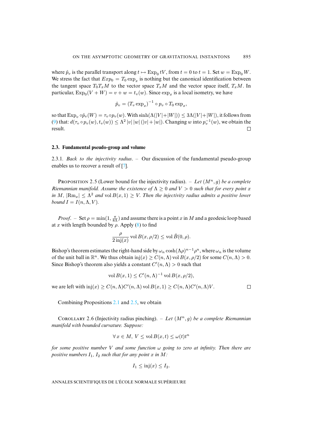where  $\hat{p}_v$  is the parallel transport along  $t \mapsto \text{Exp}_0 tV$ , from  $t = 0$  to  $t = 1$ . Set  $w = \text{Exp}_0 W$ . We stress the fact that  $Exp_0 = T_0 \exp_x$  is nothing but the canonical identification between the tangent space  $T_0T_xM$  to the vector space  $T_xM$  and the vector space itself,  $T_xM$ . In particular,  $Exp_0(V+W) = v+w = t_v(w)$ . Since  $exp_x$  is a local isometry, we have

$$
\hat{p}_v = (T_v \exp_x)^{-1} \circ p_v \circ T_0 \exp_x,
$$

so that  $\text{Exp}_v \circ \hat{p}_v(W) = \tau_v \circ p_v(w)$ . With  $\sinh(\Lambda(|V|+|W|)) \leq 3\Lambda(|V|+|W|)$ , it follows from (9) that:  $d(\tau_v \circ p_v(w), t_v(w)) \leq \Lambda^2 |v| |w| (|v| + |w|)$ . Changing w into  $p_v^{-1}(w)$ , we obtain the result.  $\Box$ 

# <span id="page-13-0"></span>**2.3. Fundamental pseudo-group [an](#page-41-12)d volume**

2.3.1*. Back to the injectivity radius*. – Our discussion of the fundamental pseudo-group enables us to recover a result of [7].

PROPOSITION 2.5 (Lower bound for the injectivity radius). – Let  $(M^n, q)$  be a complete *Riemannian manifold. Assume the existence of*  $\Lambda \geq 0$  *and*  $V > 0$  *such that for every point* x *in* M,  $|\text{Rm}_x| \leq \Lambda^2$  and vol  $B(x, 1) \geq V$ . Then the injectivity radius admits a positive lower *bound*  $I = I(n, \Lambda, V)$ *.* 

*Proof.* – Set  $\rho = \min(1, \frac{\pi}{8\Lambda})$  and assume there is a point x in M and a geodesic loop based at x with length bounded by  $\rho$ . Apply (8) to find

$$
\frac{\rho}{2 \operatorname{inj}(x)} \operatorname{vol} B(x, \rho/2) \le \operatorname{vol} \hat{B}(0, \rho).
$$

Bishop's theorem estimates the right-hand side by  $\omega_n \cosh(\Lambda \rho)^{n-1} \rho^n$ , where  $\omega_n$  is the volume of the unit ball in  $\mathbb{R}^n$ . We thus obtain  $\text{inj}(x) \ge C(n, \Lambda)$  vol  $B(x, \rho/2)$  for some  $C(n, \Lambda) > 0$ . Since Bishop's theorem also yields a constant  $C'(n, \Lambda) > 0$  such that

$$
\text{vol}\,B(x,1) \le C'(n,\Lambda)^{-1}\,\text{vol}\,B(x,\rho/2),
$$

<span id="page-13-1"></span>we are left with  $\text{inj}(x) \geq C(n, \Lambda)C'(n, \Lambda)$  $\text{inj}(x) \geq C(n, \Lambda)C'(n, \Lambda)$  $\text{inj}(x) \geq C(n, \Lambda)C'(n, \Lambda)$  vol  $B(x, 1) \geq C(n, \Lambda)C'(n, \Lambda)V$ .

 $\Box$ 

Combining Propositions 2.1 and 2.5, we obtain

COROLLARY 2.6 (Injectivity radius pinching). – Let  $(M^n, g)$  be a complete Riemannian *manifold with bounded curvature. Suppose:*

$$
\forall x \in M, V \le \text{vol}\,B(x,t) \le \omega(t)t^n
$$

*for some positive number* V *and some function* ω *going to zero at infinity. Then there are positive numbers*  $I_1$ ,  $I_2$  *such that for any point* x *in* M:

$$
I_1 \leq inj(x) \leq I_2.
$$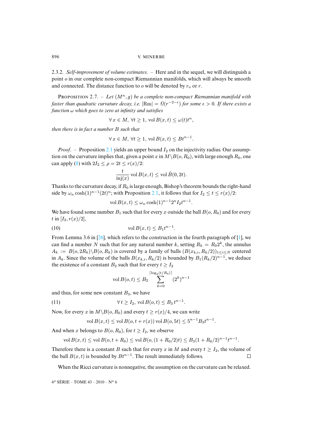2.3.2*. Self-improvement of volume estimates*. – Here and in the sequel, we will distinguish a point o in our complete non-compact Riemannian manifolds, which will always be smooth and connected. The distance function to  $\sigma$  will be denoted by  $r_{\sigma}$  or r.

PROPOSITION 2.7. - Let  $(M^n, g)$  be a complete non-compact Riemannian manifold with *faster than quadratic curvature decay, i.e.*  $|\text{Rm}| = \theta(r^{-2-\epsilon})$  for some  $\epsilon > 0$ . If there exists a *function* ω *which goes to zero at infinity and satisfies*

$$
\forall x \in M, \,\forall t \ge 1, \,\text{vol}\,B(x,t) \le \omega(t)t^n,
$$

*then there is in fact a nu[mber](#page-7-2)* B *such that*

$$
\forall x \in M, \,\forall t \ge 1, \,\text{vol}\,B(x,t) \le Bt^{n-1}.
$$

*Proof.* – Proposition 2.1 yields an upper bound  $I_2$  on the injectivity radius. Our assumption on the curvature implies that, given a point x in  $M\setminus B(o, R_0)$ , with large enough  $R_0$ , one can apply (8) with  $2I_2 \le \rho = 2t \le r(x)/2$ :

$$
\frac{t}{\text{inj}(x)} \text{ vol } B(x,t) \leq \text{vol } \hat{B}(0,2t).
$$

Thanks to the curvature decay, if  $R_0$  is large enough, Bishop's theorem bounds the right-hand side by  $\omega_n \cosh(1)^{n-1}(2t)^n$ ; with Proposition 2.1, it follows that for  $I_2 \le t \le r(x)/2$ :

<span id="page-14-0"></span>
$$
\text{vol}\,B(x,t) \le \omega_n \cosh(1)^{n-1} 2^n I_2 t^{n-1}.
$$

We have found some [num](#page-42-11)ber  $B_1$  such that fo[r ev](#page-41-7)ery x outside the ball  $B(o, R_0)$  and for every t in [ $I_2, r(x)/2$ ],

$$
(10) \t\t\t vol B(x,t) \leq B_1 t^{n-1}.
$$

From Lemma 3.6 in [26], which refers to the construction in the fourth paragraph of [1], we can find a number N such that for any natural number k, setting  $R_k = R_0 2^k$ , the annulus  $A_k := B(o, 2R_k) \setminus B(o, R_k)$  is covered by a family of balls  $(B(x_{k,i}, R_k/2))_{1 \le i \le N}$  centered in  $A_k$ . Since the volume of the balls  $B(x_{k,i}, R_k/2)$  is bounded by  $B_1(R_k/2)^{n-1}$ , we deduce the existence of a constant  $B_2$  such that for every  $t \geq I_2$ 

<span id="page-14-1"></span>
$$
\text{vol}\,B(o,t) \le B_2 \sum_{k=0}^{\lceil \log_2(t/R_0) \rceil} (2^k)^{n-1}
$$

and thus, for some new constant  $B_3$ , we have

$$
(11) \qquad \forall t \ge I_2, \text{ vol } B(o, t) \le B_3 t^{n-1}
$$

Now, for every x in  $M\setminus B(o, R_0)$  and every  $t \geq r(x)/4$ , we can write

$$
\text{vol}\,B(x,t) \le \text{vol}\,B(o,t+r(x))\,\text{vol}\,B(o,5t) \le 5^{n-1}B_3t^{n-1}.
$$

.

And when x belongs to  $B(o, R_0)$ , for  $t \geq I_2$ , we observe

$$
\text{vol}\,B(x,t) \le \text{vol}\,B(o,t+R_0) \le \text{vol}\,B(o,(1+R_0/2)t) \le B_3(1+R_0/2)^{n-1}t^{n-1}.
$$

Therefore there is a constant B such that for every x in M and every  $t \geq I_2$ , the volume of the ball  $B(x, t)$  is bounded by  $Bt^{n-1}$ . The result immediately follows.  $\Box$ 

When the Ricci curvature is nonnegative, the assumption on the curvature can be relaxed.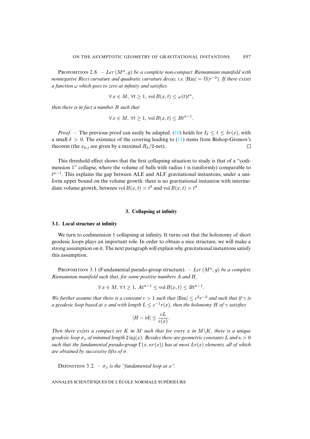PROPOSITION 2.8. – Let  $(M^n, g)$  be a complete non-compact Riemannian manifold with *nonnegative Ricci curvature and quadratic curvature decay, i.e.*  $|\mathrm{Rm}| = \mathcal{O}(r^{-2})$ . If there exists *a function* ω *which goes to zero at infinity and satisfies*

$$
\forall x \in M, \,\forall t \ge 1, \,\mathrm{vol}\,B(x,t) \le \omega(t)t^n,
$$

*then there is in fact a number* B *such that*

$$
\forall x \in M, \,\forall t \ge 1, \,\text{vol}\,B(x,t) \le Bt^{n-1}.
$$

*Proof.* – The previous proof can easily be adapted. (10) holds for  $I_2 \le t \le \delta r(x)$ , with a small  $\delta > 0$ . The existence of the covering leading to (11) stems from Bishop-Gromov's theorem (the  $x_{k,i}$  are given by a maximal  $R_k/2$ -net).  $\Box$ 

This threshold effect shows that the first collapsing situation to study is that of a "codimension 1" collapse, where the volume of balls with radius  $t$  is (uniformly) comparable to  $t^{n-1}$ . This explains the gap between ALE and ALF gravitational instantons, under a uniform upper bound on the volume growth: there is no gravitational instanton with intermediate volume growth, between vol  $B(x,t) \approx t^3$  and vol  $B(x,t) \approx t^4$ .

## **3. Collapsing at infinity**

#### **3.1. Local structure at infinity**

<span id="page-15-0"></span>We turn to codimension 1 collapsing at infinity. It turns out that the holonomy of short geodesic loops plays an important role. In order to obtain a nice structure, we will make a strong assumption on it. The next paragraph will explain why gravitational instantons satisfy this assumption.

**PROPOSITION 3.1 (Fundamental pseudo-group structure).** – Let  $(M^n, g)$  be a complete *Riemannian manifold such that, for some positive numbers* A *and* B*,*

$$
\forall x \in M, \forall t \ge 1, At^{n-1} \le \text{vol } B(x,t) \le Bt^{n-1}.
$$

*We further assume that there is a constant*  $c > 1$  *such that*  $|\text{Rm}| \leq c^2 r^{-2}$  *and such that if*  $\gamma$  *is a* geodesic loop based at x and with length  $L \leq c^{-1}r(x)$ , then the holonomy H of  $\gamma$  satisfies

$$
|H - \mathrm{id}| \le \frac{cL}{r(x)}.
$$

*Then there exists a compact set* K *in* M *such that for every* x *in*  $M\K$ *, there is a unique geodesic loop*  $\sigma_x$  *of minimal length* 2 inj(x). Besides there are geometric constants L and  $\kappa > 0$ *such that the fundamental pseudo-group* Γ(x, κr(x)) *has at most* Lr(x) *elements, all of which are obtained by successive lifts of* σ*.*

DEFINITION 3.2. –  $\sigma_x$  *is the "fundamental loop at* x".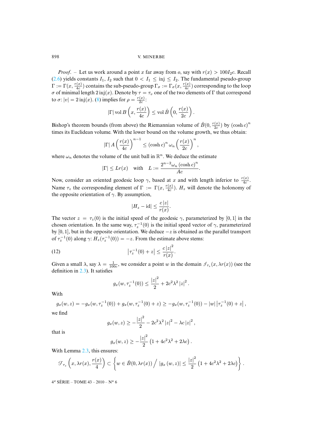*Proof.* – Let us work around a point x far away from o, say with  $r(x) > 100I_2c$ . Recall (2.6) yield[s](#page-10-1) constants  $I_1$ ,  $I_2$  such that  $0 < I_1 \leq \text{inj} \leq I_2$ . The fundamental pseudo-group  $\Gamma:=\Gamma(x,\frac{r(x)}{4c})$  $\frac{f(x)}{4c}$ ) contains the sub-pseudo-group  $\Gamma_\sigma := \Gamma_\sigma(x,\frac{r(x)}{4c})$  $\frac{f(x)}{4c}$ ) corresponding to the loop σ of minimal length 2 inj(x). Denote by  $τ = τ<sub>v</sub>$  one of the two elements of Γ that correspond to  $\sigma$ :  $|v| = 2$  inj(x). (8) implies for  $\rho = \frac{r(x)}{2c}$  $\frac{(x)}{2c}$ :

$$
|\Gamma| \operatorname{vol} B\left(x,\frac{r(x)}{4c}\right) \leq \operatorname{vol} \hat{B}\left(0,\frac{r(x)}{2c}\right).
$$

Bishop's theorem bounds (from above) the Riemannian volume of  $\hat{B}(0, \frac{r(x)}{2c})$  $\frac{c(x)}{2c}$ ) by  $(\cosh c)^n$ times its Euclidean volume. With the lower bound on the volume growth, we thus obtain:

$$
|\Gamma| A \left(\frac{r(x)}{4c}\right)^{n-1} \le (\cosh c)^n \,\omega_n \left(\frac{r(x)}{2c}\right)^n,
$$

where  $\omega_n$  denotes the volume of the unit ball in  $\mathbb{R}^n$ . We deduce the estimate

$$
|\Gamma| \leq Lr(x)
$$
 with  $L := \frac{2^{n-2}\omega_n (\cosh c)^n}{Ac}$ .

Now, consider an oriented geodesic loop  $\gamma$ , based at x and with length inferior to  $\frac{r(x)}{4c}$ . Name  $\tau_z$  the corresponding element of  $\Gamma := \Gamma(x, \frac{r(x)}{4c})$  $\frac{d(x)}{4c}$ ).  $H_z$  will denote the holonomy of the opposite orientation of  $\gamma$ . By assumption,

<span id="page-16-0"></span>
$$
|H_z - \mathrm{id}| \le \frac{c\,|z|}{r(x)}.
$$

The vector  $z = \tau_z(0)$  is the initial speed of the geodesic  $\gamma$ , parameterized by [0, 1] in the chosen orientation. In the same way,  $\tau_z^{-1}(0)$  is the initial speed vector of  $\gamma$ , parameterized by [0, 1], but in the opposite orientation. We deduce  $-z$  is obtained as the parallel transport of  $\tau_z^{-1}(0)$  along  $\gamma$ :  $H_z(\tau_z^{-1}(0)) = -z$ . From the estimate above stems:

(12) 
$$
\left|\tau_z^{-1}(0) + z\right| \leq \frac{c\left|z\right|^2}{r(x)}.
$$

Given a small  $\lambda$ , say  $\lambda = \frac{1}{100c}$ , we consider a point w in the domain  $\mathcal{I}_{\tau_z}(x, \lambda r(x))$  (see the definition in 2.3). It satisfies

$$
g_x(w, \tau_z^{-1}(0)) \le \frac{|z|^2}{2} + 2c^2\lambda^2 |z|^2
$$
.

With

$$
g_x(w, z) = -g_x(w, \tau_z^{-1}(0)) + g_x(w, \tau_z^{-1}(0) + z) \ge -g_x(w, \tau_z^{-1}(0)) - |w| |\tau_z^{-1}(0) + z|,
$$

we find

$$
g_x(w, z) \ge -\frac{|z|^2}{2} - 2c^2\lambda^2 |z|^2 - \lambda c |z|^2,
$$

that is

$$
g_x(w, z) \ge -\frac{|z|^2}{2} (1 + 4c^2 \lambda^2 + 2\lambda c).
$$

With Lemma 2.3, this ensures:

$$
\mathcal{F}_{\tau_z}\left(x,\lambda r(x),\frac{r(x)}{4}\right) \subset \left\{w \in \hat{B}(0,\lambda r(x)) \Big/ \left|g_x\left(w,z\right)\right| \leq \frac{\left|z\right|^2}{2} \left(1+4c^2\lambda^2+2\lambda c\right)\right\}.
$$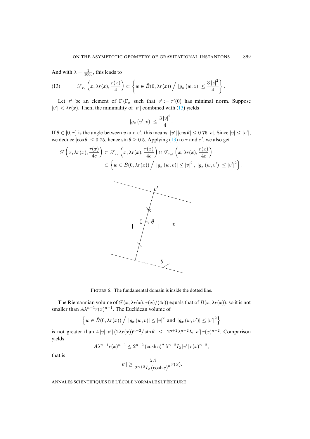<span id="page-17-0"></span>And with  $\lambda = \frac{1}{100c}$ , this leads to

(13) 
$$
\mathcal{F}_{\tau_z}\left(x,\lambda r(x),\frac{r(x)}{4}\right) \subset \left\{w \in \hat{B}(0,\lambda r(x)) / |g_x(w,z)| \leq \frac{3|z|^2}{4}\right\}.
$$

Let  $\tau'$  be an element of  $\Gamma \backslash \Gamma_{\sigma}$  such that  $v' := \tau'(0)$  has minimal norm. Suppose  $|v'| < \lambda r(x)$ . Then, the minimality of  $|v'|$  combined with (13) yields

$$
|g_x\left(v',v\right)| \le \frac{3\left|v\right|^2}{4}.
$$

If  $\theta \in [0, \pi]$  is the angle between v and v', this means:  $|v'| |\cos \theta| \leq 0.75 |v|$ . Since  $|v| \leq |v'|$ , we deduce  $|\cos \theta| \le 0.75$ , hence  $\sin \theta \ge 0.5$ . Applying (13) to  $\tau$  and  $\tau'$ , we also get

$$
\mathcal{F}\left(x,\lambda r(x),\frac{r(x)}{4c}\right) \subset \mathcal{F}_{\tau_v}\left(x,\lambda r(x),\frac{r(x)}{4c}\right) \cap \mathcal{F}_{\tau_{v'}}\left(x,\lambda r(x),\frac{r(x)}{4c}\right)
$$

$$
\subset \left\{w \in \hat{B}(0,\lambda r(x)) / |g_x(w,v)| \leq |v|^2, |g_x(w,v')| \leq |v'|^2\right\}.
$$



FIGURE 6. The fundamental domain is inside the dotted line.

The Riemannian volume of  $\mathcal{F}(x, \lambda r(x), r(x)/(4c))$  equals that of  $B(x, \lambda r(x))$ , so it is not smaller than  $A\lambda^{n-1}r(x)^{n-1}$ . The Euclidean volume of

$$
\left\{ w \in \hat{B}(0, \lambda r(x)) / |g_x(w, v)| \le |v|^2 \text{ and } |g_x(w, v')| \le |v'|^2 \right\}
$$

is not greater than  $4|v||v'|(2\lambda r(x))^{n-2}/\sin\theta \leq 2^{n+2}\lambda^{n-2}I_2|v'|r(x)^{n-2}$ . Comparison yields

$$
A\lambda^{n-1}r(x)^{n-1} \le 2^{n+2} (\cosh c)^n \lambda^{n-2} I_2 |v'| r(x)^{n-2},
$$

that is

$$
|v'| \ge \frac{\lambda A}{2^{n+2} I_2 (\cosh c)^n} r(x).
$$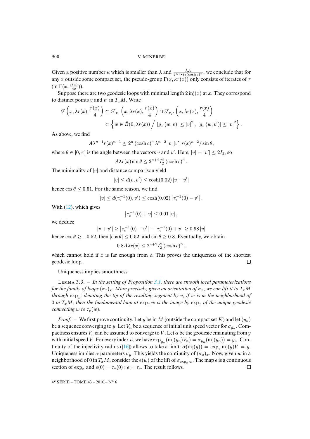Given a positive number  $\kappa$  which is smaller than  $\lambda$  and  $\frac{\lambda A}{2^{n+2}I_2(\cosh c)^n}$ , we conclude that for any x outside some compact set, the pseudo-group  $\Gamma(x, \kappa r(x))$  only consists of iterates of  $\tau$ (in  $\Gamma(x, \frac{r(x)}{4c})$  $\frac{(x)}{4c})$ ).

Suppose there are two geodesic loops with minimal length  $2 \text{ inj}(x)$  at x. They correspond to distinct points v and v' in  $T_xM$ . Write

$$
\mathcal{F}\left(x,\lambda r(x),\frac{r(x)}{4}\right) \subset \mathcal{F}_{\tau_v}\left(x,\lambda r(x),\frac{r(x)}{4}\right) \cap \mathcal{F}_{\tau_{v'}}\left(x,\lambda r(x),\frac{r(x)}{4}\right)
$$

$$
\subset \left\{w \in \hat{B}(0,\lambda r(x)) / |g_x(w,v)| \leq |v|^2, |g_x(w,v')| \leq |v|^2\right\}.
$$

As above, we find

$$
A\lambda^{n-1}r(x)^{n-1} \le 2^n (\cosh c)^n \lambda^{n-2} |v| |v'| r(x)^{n-2} / \sin \theta,
$$

where  $\theta \in [0, \pi]$  is the angle between the vectors v and v'. Here,  $|v| = |v'| \le 2I_2$ , so

$$
A\lambda r(x) \sin \theta \le 2^{n+2} I_2^2 (\cosh c)^n
$$
.

The minimality of  $|v|$  and distance comparison yield

$$
|v| \le d(v, v') \le \cosh(0.02) |v - v'|
$$

hence  $\cos \theta \leq 0.51$  $\cos \theta \leq 0.51$  $\cos \theta \leq 0.51$ . For the same reason, we find

$$
|v| \leq d(\tau_v^{-1}(0), v') \leq \cosh(0.02) |\tau_v^{-1}(0) - v'|.
$$

With  $(12)$ , which gives

$$
\left|\tau_v^{-1}(0) + v\right| \le 0.01 \, |v| \,,
$$

we deduce

$$
|v + v'| \ge |\tau_v^{-1}(0) - v'| - |\tau_v^{-1}(0) + v| \ge 0.98 |v|
$$

hence  $\cos \theta \ge -0.52$ , then  $|\cos \theta| \le 0.52$ , and  $\sin \theta \ge 0.8$ . Eventually, we obtain

$$
0.8A\lambda r(x) \le 2^{n+2}I_2^2(\cosh c)^n,
$$

<span id="page-18-0"></span>which cannot hold if  $x$  is far enough from  $\alpha$ . This proves the uniqueness of the shortest geodesic loop.  $\Box$ 

Uniqueness implies smoothness:

L 3.3. – *In the setting of Proposition 3.1, there are smooth local parameterizations for the family of loops*  $(\sigma_x)_x$ *. More precisely, given an orientation of*  $\sigma_x$ *, we can lift it to*  $T_xM$ *through*  $\exp_x$ ; denoting the tip of the resulting segment by v, if w is in the neighborhood of 0 *in*  $T_xM$ , then the fundamental loop at  $\exp_x w$  *is the image by*  $\exp_x$  *of the unique geodesic connecting* w *to*  $\tau_v(w)$ *.* 

*Proof.* – We first prove continuity. Let y be in M (outside the compact set K) and let  $(y_n)$ be a sequence converging to y. Let  $V_n$  $V_n$  be a sequence of initial unit speed vector for  $\sigma_{y_n}$ . Compactness ensures  $V_n$  can be assumed to converge to V. Let  $\alpha$  be the geodesic emanating from y with initial speed V. For every index n, we have  $\exp_{y_n}(\text{inj}(y_n)V_n) = \sigma_{y_n}(\text{inj}(y_n)) = y_n$ . Continuity of the injectivity radius ([16]) allows to take a limit:  $\alpha(\text{inj}(y)) = \exp_y \text{inj}(y)V = y$ . Uniqueness implies  $\alpha$  parameters  $\sigma_y$ . This yields the continuity of  $(\sigma_x)_x$ . Now, given w in a neighborhood of 0 in  $T_xM$ , consider the  $e(w)$  of the lift of  $\sigma_{\exp_x w}$ . The map e is a continuous section of  $\exp_x$  and  $e(0) = \tau_v(0)$ :  $e = \tau_v$ . The result follows.  $\Box$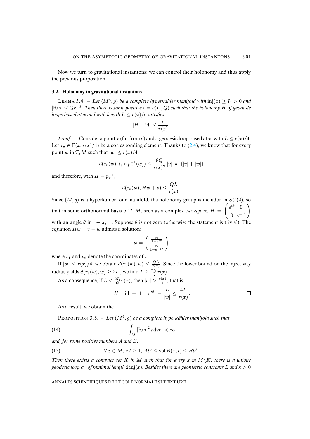<span id="page-19-0"></span>Now we turn to gravitational instantons: we can control their holonomy and thus apply the previous proposition.

## **3.2. Holonomy in gravitational instantons**

LEMMA 3.4. – Let  $(M^4, g)$  be a complete hyperkähler manifold with  $\text{inj}(x) \geq I_1 > 0$  and  $|Rm| ≤ Qr^{-3}$ . Then there is some positive  $c = c(I_1, Q)$  such that the holonomy H of geodesic *loops based at* x *and with length*  $L \leq r(x)/c$  *satisfies* 

$$
|H - \mathrm{id}| \le \frac{c}{r(x)}.
$$

*Proof.* – Consider a point x (far from o) and a geodesic loop based at x, with  $L \leq r(x)/4$ . Let  $\tau_v \in \Gamma(x, r(x)/4)$  be a corresponding element. Thanks to (2.4), we know that for every point w in  $T_xM$  such that  $|w| \leq r(x)/4$ :

$$
d(\tau_v(w), t_v \circ p_v^{-1}(w)) \le \frac{8Q}{r(x)^3} |v| |w| (|v| + |w|)
$$

and therefore, with  $H = p_v^{-1}$ ,

$$
d(\tau_v(w), Hw + v) \leq \frac{QL}{r(x)}.
$$

Since  $(M, g)$  is a hyperkähler four-manifold, the holonomy group is included in  $SU(2)$ , so that in some orthonormal basis of  $T_xM$ , seen as a complex two-space,  $H =$  $\int e^{i\theta} = 0$  $\begin{pmatrix} e^{i\theta} & 0 \\ 0 & e^{-i\theta} \end{pmatrix}$ with an angle  $\theta$  in  $] - \pi, \pi$ . Suppose  $\theta$  is not zero (otherwise the statement is trivial). The equation  $Hw + v = w$  admits a solution:

$$
w = \begin{pmatrix} \frac{v_1}{1 - e^{i\theta}} \\ \frac{v_2}{1 - e^{-i\theta}} \end{pmatrix}
$$

where  $v_1$  and  $v_2$  denote the coordinates of v.

If  $|w| \le r(x)/4$ , we obtain  $d(\tau_v(w), w) \le \frac{QL}{r(x)}$ . Since the lower bound on the injectivity radius yields  $d(\tau_v(w), w) \ge 2I_1$ , we find  $L \ge \frac{2I_1}{Q}r(x)$ .

As a consequence, if  $L < \frac{2I_1}{Q}r(x)$ , then  $|w| > \frac{r(x)}{4}$  $\frac{f(x)}{4}$ , that is

<span id="page-19-2"></span><span id="page-19-1"></span>
$$
|H - \mathrm{id}| = \left|1 - e^{i\theta}\right| = \frac{L}{|w|} \le \frac{4L}{r(x)}.
$$

As a result, we obtain the

**PROPOSITION** 3.5. - Let  $(M^4, g)$  be a complete hyperkähler manifold such that

$$
\int_M |\text{Rm}|^2 \, r \text{dvol} < \infty
$$

*and, for some positive numbers* A *and* B*,*

(15) 
$$
\forall x \in M, \forall t \geq 1, At^3 \leq \text{vol } B(x,t) \leq Bt^3.
$$

*Then there exists a compact set* K *in* M *such that for every* x *in*  $M\K$ *, there is a unique geodesic loop*  $\sigma_x$  *of minimal length* 2 inj(x)*. Besides there are geometric constants* L *and*  $\kappa > 0$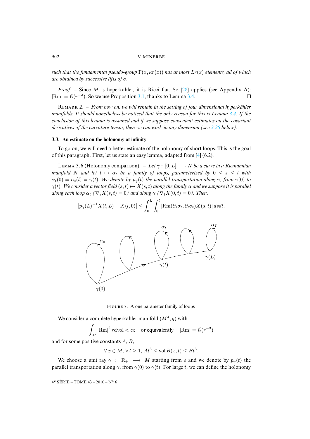*such that the fundamental pseudo-group*  $\Gamma(x, \kappa r(x))$  *has at [most](#page-42-6)*  $Lr(x)$  $Lr(x)$  *elements, all of which are obtained by successive lifts of* σ*.*

*Proof.* – Since M is hyperkähler, it is Ricci flat. So [28] applies (see Ap[pend](#page-19-0)ix A):  $|\text{Rm}| = \Theta(r^{-3})$ . So we use Proposition 3.1, thanks to Lemma 3.4.  $\Box$ 

R 2. – *From now on, we will remain in the setting of four dime[nsiona](#page-36-0)l hyperkähler manifolds. It should nonetheless be noticed that the only reason for this is Lemma 3.4. If the conclusion of this lemma is assumed and if we suppose convenient estimates on the covariant derivatives of the curvature tensor, then we can work in any dimension (see 3.26 below).*

## <span id="page-20-0"></span>**3.3. An estimate on the holonomy at infinity**

To go on, we will need a better estimate of the holonomy of short loops. This is the goal of this paragraph. First, let us state an easy lemma, adapted from [4] (6.2).

LEMMA 3.6 (Holonomy comparison). – *Let*  $\gamma : [0, L] \longrightarrow N$  *be a curve in a Riemannian manifold* N *and let*  $t \mapsto \alpha_t$  *be a family of loops, parameterized by*  $0 \le s \le l$  *with*  $\alpha_t(0) = \alpha_t(l) = \gamma(t)$ *. We denote by*  $p_\gamma(t)$  *the parallel transportation along*  $\gamma$ *, from*  $\gamma(0)$  *to*  $\gamma(t)$ *. We consider a vector field*  $(s, t) \mapsto X(s, t)$  *along the family*  $\alpha$  *and we suppose it is parallel along each loop*  $\alpha_t$  *(* $\nabla_s X(s,t) = 0$ *) and along*  $\gamma$  *(* $\nabla_t X(0,t) = 0$ *). Then:* 

$$
\left| p_{\gamma}(L)^{-1} X(l, L) - X(l, 0) \right| \leq \int_0^L \int_0^l \left| Rm(\partial_s \sigma_t, \partial_t \sigma_t) X(s, t) \right| ds dt.
$$



FIGURE 7. A one parameter family of loops.

We consider a complete hyperkähler manifold  $(M^4, g)$  with

Z M  $|\text{Rm}|^2 r \text{dvol} < \infty$  or equivalently  $|\text{Rm}| = \theta(r^{-3})$ 

and for some positive constants A, B,

$$
\forall x \in M, \forall t \ge 1, At^3 \le \text{vol } B(x,t) \le Bt^3.
$$

We choose a unit ray  $\gamma$  :  $\mathbb{R}_+$   $\longrightarrow$  *M* starting from *o* and we denote by  $p_{\gamma}(t)$  the parallel transportation along  $\gamma$ , from  $\gamma$ (0) to  $\gamma$ (t). For large t, we can define the holonomy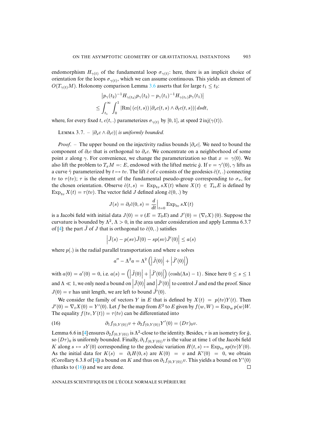endomorphism  $H_{\gamma(t)}$  of the fundamental loop  $\sigma_{\gamma(t)}$ : here, there is an implicit choice of orientation for the loops  $\sigma_{\gamma(t)}$ , which we can assume continuous. This yields an element of  $O(T_{\gamma(t)}M)$ . Holonomy comparison Lemma 3.6 asserts that for large  $t_1 \leq t_2$ .

$$
\left| p_{\gamma}(t_2)^{-1} H_{\gamma(t_2)} p_{\gamma}(t_2) - p_{\gamma}(t_1)^{-1} H_{\gamma(t_1)} p_{\gamma}(t_1) \right|
$$
  

$$
\leq \int_{t_1}^{\infty} \int_0^1 |\text{Rm}| (c(t,s)) |\partial_s c(t,s) \wedge \partial_t c(t,s)| ds dt,
$$

where, for every fixed t,  $c(t,.)$  parameterizes  $\sigma_{\gamma(t)}$  by [0, 1], at speed  $2\text{ inj}(\gamma(t))$ .

LEMMA 3.7. –  $|\partial_s c \wedge \partial_t c|$  *is uniformly bounded.* 

*Proof.* – The upper bound on the injectivity radius bounds  $|\partial_{s}c|$ . We need to bound the component of  $\partial_t c$  that is orthogonal to  $\partial_s c$ . We concentrate on a neighborhood of some point x along  $\gamma$ . For convenience, we change the parameterization so that  $x = \gamma(0)$ . We also lift the problem to  $T_xM = E$ , endowed with the lifted metric  $\hat{g}$ . If  $v = \gamma'(0)$ ,  $\gamma$  lifts as a curve  $\hat{\gamma}$  parameterized by  $t \mapsto tv$ . The lift  $\hat{c}$  of c consists of the geodesics  $\hat{c}(t,.)$  connecting tv to  $\tau(tv)$ ;  $\tau$  is the element of the fundamental pseudo-group corresponding to  $\sigma_x$ , for the chosen orientation. Observe  $\hat{c}(t,s) = \text{Exp}_{tv} sX(t)$  where  $X(t) \in T_{tv}E$  is defined by  $\text{Exp}_{tv} X(t) = \tau(tv)$ . The vector field J defined along  $\hat{c}(0,.)$  by

$$
J(s) = \partial_t \hat{c}(0, s) = \frac{d}{dt}\Big|_{t=0} \operatorname{Exp}_{tv} sX(t)
$$

is a Jacobi field with initial data  $J(0) = v (E = T_0 E)$  and  $J'(0) = (\nabla_t X)(0)$ . Suppose the curvature is bounded by  $\Lambda^2$ ,  $\Lambda > 0$ , in the area under consideration and apply Lemma 6.3.7 of [4]: the part  $\tilde{J}$  of  $J$  that is orthogonal to  $\hat{c}(0,.)$  satisfies

$$
\left|\tilde{J}(s) - p(sv)\tilde{J}(0) - sp(sv)\tilde{J}'(0)\right| \le a(s)
$$

where  $p(.)$  is the radial parallel transportation and where a solves

<span id="page-21-0"></span>
$$
a'' - \Lambda^2 a = \Lambda^2 \left( \left| \tilde{J}(0) \right| + \left| \tilde{J}'(0) \right| \right)
$$

with  $a(0) = a'(0) = 0$ , i.e.  $a(s) = (|\tilde{J}(0)| + |\tilde{J}'(0)|)$  $(\cosh(\Lambda s) - 1)$ . Since here  $0 \leq s \leq 1$ and  $\Lambda \ll 1$ , we only need a bound on  $\left| \tilde{J}(0) \right|$  and  $\left| \tilde{J}'(0) \right|$  to control  $\tilde{J}$  and end the proof. Since  $J(0) = v$  has unit length, we are left to bound  $\tilde{J}'(0)$ .

We consider the family of vectors Y in E that is defined by  $X(t) = p(tv)Y(t)$ . Then  $J'(0) = \nabla_t X(0) = Y'(0)$ . Let f be the map from  $E^2$  to E given by  $f(w, W) = \text{Exp}_w p(w)W$ . The equality  $f(tv, Y(t)) = \tau(tv)$  $f(tv, Y(t)) = \tau(tv)$  $f(tv, Y(t)) = \tau(tv)$  can be differentiated into

(16) 
$$
\partial_1 f_{(0,Y(0))} v + \partial_2 f_{(0,Y(0))} Y'(0) = (D\tau)_0 v.
$$

Lemma 6.6 in [4] ensures  $\partial_2 f_{(0,Y(0))}$  is  $\Lambda^2$ -close to the identity. Besides,  $\tau$  is an isometry for  $\hat{g}$ , so  $(D\tau)_0$  is unifor[mly](#page-41-13) bounded. Finally,  $\partial_1 f_{(0,Y(0))}v$  is the value at time 1 of the Jacobi field K along  $s \mapsto sY(0)$  corresponding to the geodesic variation  $H(t, s) \mapsto \text{Exp}_{t,v} sp(tv)Y(0).$ As the initial data for  $K(s) = \partial_t H(0, s)$  are  $K(0) = v$  and  $K'(0) = 0$ , we obtain (Corollary 6.3.8 of [4]) a bound on K and thus on  $\partial_1 f_{(0,Y(0))} v$ . This yields a bound on Y'(0) (thanks to  $(16)$ ) and we are done.  $\Box$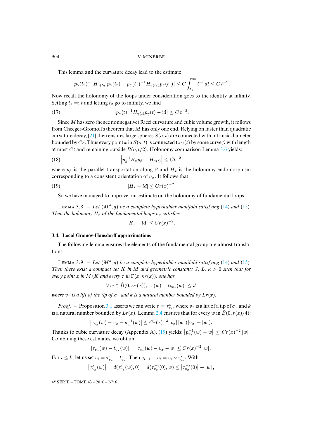This lemma and the curvature decay lead to the estimate

$$
\left|p_{\gamma}(t_2)^{-1}H_{\gamma(t_2)}p_{\gamma}(t_2)-p_{\gamma}(t_1)^{-1}H_{\gamma(t_1)}p_{\gamma}(t_1)\right|\leq C\int_{t_1}^{\infty}t^{-3}dt\leq C\,t_1^{-2}.
$$

Now recall the holonomy of the loops under consideration goes to the identity at infinity. Setting  $t_1 =: t$  and letting  $t_2$  go to infinity, we find

(17) 
$$
\left| p_{\gamma}(t)^{-1} H_{\gamma(t)} p_{\gamma}(t) - \mathrm{id} \right| \leq C t^{-2}.
$$

Since M has zero (hence nonnegative) Ricci curvature and cubic volume growth, it follows from Cheeger-Gromoll's theorem that M has only one end. Relying on faster [than](#page-20-0) quadratic curvature decay, [21] then ensures large spheres  $S(o, t)$  are connected with intrinsic diameter bounded by Cs. Thus every point x in  $S(o, t)$  is connected to  $\gamma(t)$  by some curve  $\beta$  with length at most Ct and remaining outside  $B(o, t/2)$ . Holonomy comparison Lemma 3.6 yields:

(18) 
$$
\left| p_{\beta}^{-1} H_x p_{\beta} - H_{\gamma(t)} \right| \leq C t^{-2},
$$

where  $p_\beta$  is the parallel transportation along  $\beta$  and  $H_x$  is the holonomy endomorphism corresponding to a consistent orientation of  $\sigma_x$ . It follows that

(19) 
$$
|H_x - id| \le Cr(x)^{-2}.
$$

So we have managed to improve our estimate on the holonomy of fundamental loops.

LEMMA 3.8. – Let  $(M^4, g)$  be a complete hyperkähler manifold satisfying (14) and (15). *Then the holonomy*  $H_x$  *of the fundamental loops*  $\sigma_x$  *satisfies* 

<span id="page-22-0"></span>
$$
|H_x - \mathrm{id}| \le Cr(x)^{-2}.
$$

#### <span id="page-22-1"></span>**3.4. Local Gromov-Hausdorff approximations**

The following lemma ensures the elements of the fundamental group are al[mo](#page-19-1)st tra[nsla](#page-19-2)tions.

LEMMA 3.9. – Let  $(M^4, g)$  be a complete hyperkähler manifold satisfying (14) and (15). *Then there exist a compact set* K *in* M *and geometric constants* J, L,  $\kappa > 0$  *such that for every point* x *in*  $M\K$  *and every*  $\tau$  *in*  $\Gamma(x, \kappa r(x))$ *, one has* 

$$
\forall w \in \hat{B}(0, \kappa r(x)), |\tau(w) - t_{kv_x}(w)| \le J
$$

*where*  $v_x$  *is a lift of the tip of*  $\sigma_x$  *and* k *is a natur[al nu](#page-12-0)mber bounded by*  $Lr(x)$ *.* 

*Proof.* – Proposition 3.1 asserts we can write  $\tau = \tau_{v_x}^k$ , where  $v_x$  is a lift of a tip of  $\sigma_x$  and k is a natural number bounded by  $Lr(x)$ . Lemma 2[.4](#page-22-0) ensures that for every w in  $\hat{B}(0, r(x)/4)$ :

$$
\left|\tau_{v_x}(w)-v_x-p_{v_x}^{-1}(w)\right|\leq Cr(x)^{-3}|v_x|\,|w|\,(|v_x|+|w|).
$$

Thanks to cubic curvature decay (Appendix A), (19) yields:  $|p_{v_x}^{-1}(w) - w| \le Cr(x)^{-2} |w|$ . Combining these estimates, we obtain:

$$
|\tau_{v_x}(w) - t_{v_x}(w)| = |\tau_{v_x}(w) - v_x - w| \le Cr(x)^{-2} |w|.
$$

For  $i \leq k$ , let us set  $e_i = \tau_{v_x}^i - t_{v_x}^i$ . Then  $e_{i+1} - e_i = e_1 \circ \tau_{v_x}^i$ . With

$$
\left|\tau_{v_x}^i(w)\right| = d(\tau_{v_x}^i(w), 0) = d(\tau_{v_x}^{-i}(0), w) \leq \left|\tau_{v_x}^{-i}(0)\right| + |w|,
$$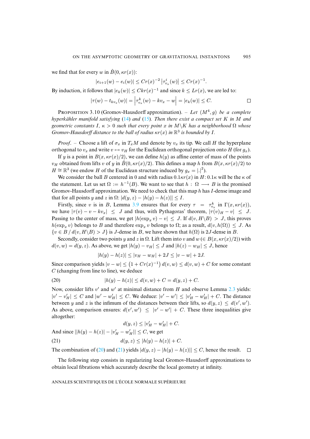we find that for every w in  $\hat{B}(0, \kappa r(x))$ :

$$
|e_{i+1}(w) - e_i(w)| \le Cr(x)^{-2} |\tau_{v_x}^i(w)| \le Cr(x)^{-1}.
$$

By induction, it follows that  $|e_k(w)| \leq Ckr(x)^{-1}$  and since  $k \leq Lr(x)$ , we are led to:

$$
|\tau(w) - t_{kv_x}(w)| = \left| \tau_{v_x}^k(w) - kv_x - w \right| = |e_k(w)| \leq C.
$$

PROPOSITION 3.10 (Gromov-Hausdorff approximation).  $-$  *Let*  $(M<sup>4</sup>, g)$  *be a complete hyperkähler manifold satisfying* (14) *and* (15)*. Then there exist a compact set* K *in* M *and geometric constants* I,  $\kappa > 0$  *such that every point* x *in*  $M\backslash K$  *has a neighborhood*  $\Omega$  *whose Gromov-Hausdorff distance to the ball of radius*  $\kappa r(x)$  *in*  $\mathbb{R}^3$  *is bounded by I*.

*Proof.* – Choose a lift of  $\sigma_x$  in  $T_xM$  and denote by  $v_x$  its tip. We call H the hyperplane orthogonal to  $v_x$  and write  $v \mapsto v_H$  for the Euclidean orthogonal projection onto H (for  $g_x$ ).

If y is a point in  $B(x, \kappa r(x)/2)$ , we can define  $h(y)$  as affine center of mass of the points  $v_H$  obtained from lifts v of y in  $\hat{B}(0, \kappa r(x)/2)$ . This defines a map h from  $B(x, \kappa r(x)/2)$  to  $H \cong \mathbb{R}^3$  (we endow H of the Euclidean structure induced by  $g_x = |.|^2$ ).

We consider the ball B centered in 0 and with radius  $0.1\kappa r(x)$  in H:  $0.1\kappa$  will be the  $\kappa$  of the statement. Let us set  $\Omega := h^{-1}(B)$  $\Omega := h^{-1}(B)$  $\Omega := h^{-1}(B)$ . We want to see that  $h : \Omega \longrightarrow B$  is the promised Gromov-Hausdorff approximation. We need to check that this map  $h$  has  $I$ -dense image and that for all points y and z in  $\Omega: |d(y, z) - h(y) - h(z)|| \leq I$ .

Firstly, since v is in B, Lemma 3.9 ensures that for every  $\tau = \tau_{v_x}^k$  in  $\Gamma(x, \kappa r(x))$ , we have  $|\tau(v) - v - kv_x| \leq J$  and thus, with Pythagoras' theorem,  $|\tau(v)_H - v| \leq J$ . Passing to the center of mass, we get  $|h(\exp_x v) - v| \le J$ . If  $d(v, H \backslash B) > J$ , this proves  $h(\exp_x v)$  belongs to B and therefore  $\exp_x v$  belongs to  $\Omega$ ; as a result,  $d(v, h(\Omega)) \leq J$ . As  $\{v \in B \mid d(v, H \backslash B) > J\}$  is J-dense in B, we have shown that  $h(\Omega)$  is 2J-dense in B.

Secondly, consider two points y and z in  $\Omega$ . Lift them into v and  $w \in B(x, \kappa r(x)/2)$  with  $d(v, w) = d(y, z)$ . As above, we get  $|h(y) - v_H| \le J$  and  $|h(z) - w_H| \le J$ , hence

<span id="page-23-1"></span><span id="page-23-0"></span>
$$
|h(y) - h(z)| \le |v_H - w_H| + 2J \le |v - w| + 2J.
$$

Since comparison yields  $|v - w| \le (1 + Cr(x)^{-1}) d(v, w) \le d(v, w) + C$  for so[me co](#page-11-0)nstant  $C$  (changing from line to line), we deduce

(20) 
$$
|h(y) - h(z)| \le d(v, w) + C = d(y, z) + C.
$$

Now, consider lifts  $v'$  and  $w'$  at minimal distance from H and observe Lemma 2.3 yields:  $|v'-v'_H| \leq C$  and  $|w'-w'_H| \leq C$ . We deduce:  $|v'-w'| \leq |v'_H-w'_H| + C$ . The distance between y and z is the infimum of the distances between their lifts, so  $d(y, z) \leq d(v', w')$ . As above, comparison ensures:  $d(v', w') \le |v' - w'| + C$ . These three inequalities give altogether:

$$
d(y, z) \le |v'_H - w'_H| + C.
$$
  
And since  $||h(y) - h(z)| - |v'_H - w'_H|| \le C$ , we get  
(21)  

$$
d(y, z) \le |h(y) - h(z)| + C.
$$

The combination of (20) and (21) yields  $|d(y, z) - h(y) - h(z)| \le C$ , hence the result.  $\square$ 

The following step consists in regularizing local Gromov-Hausdorff approximations to obtain local fibrations which accurately describe the local geometry at infinity.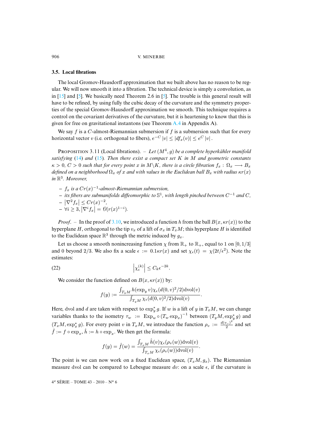## **3.5[. L](#page-41-14)ocal [fib](#page-41-10)rations**

The local Gromov-Hausdorff approximation that we built above has no reason to be regular. We will now smooth it into a fibration. The technical device is simply a convolution, as in  $[15]$  and  $[5]$ . We basically need Theorem 2.6 in  $[5]$ . The trouble is this general result will have to be refined, by using fully the cubic decay of the [curv](#page-39-0)ature and the symmetry properties of the special Gromov-Hausdorff approximation we smooth. This technique requires a control on the covariant derivatives of the curvature, but it is heartening to know that this is given for free on gravitational instantons (see Theorem A.4 in Appendix A).

<span id="page-24-1"></span>We say  $f$  is a  $C$ -almost-Riemannian submersion if  $f$  is a submersion such that for every horizontal [vec](#page-19-1)tor  $v$  [\(i.e.](#page-19-2) orthogonal to fibers),  $e^{-C} |v| \leq |df_x(v)| \leq e^{C} |v|$ .

PROPOSITION 3.11 (Local fibrations).  $-$  *Let*  $(M^4, g)$  *be a complete hyperkähler manifold satisfying* (14) *and* (15)*. Then there exist a compact set* K *in* M *and geometric constants*  $\kappa > 0$ ,  $C > 0$  such that for every point x in M\K, there is a circle fibration  $f_x : \Omega_x \longrightarrow B_x$ *defined on a neighborhood*  $\Omega_x$  *of* x *and with values in the Euclidean ball*  $B_x$  *with radius*  $\kappa r(x)$ *in* R 3 *. Moreover,*

- **–** f<sup>x</sup> *is a* Cr(x) −1 *-almost-Riemannian submersion,*
- **–** *its fibers are submanifolds diffeomorphic to* S 1 *, with length pinched between* C <sup>−</sup><sup>1</sup> *and* C*,*

$$
-|\nabla^2 f_x| \le Cr(x)^{-2},
$$

$$
- \forall i \geq 3, |\nabla^i f_x| = \mathcal{O}(r(x)^{1-i}).
$$

*Proof.* – In the proof of 3.10, we introduced a function h from the ball  $B(x, \kappa r(x))$  to the hyperplane H, orthogonal to the tip  $v_x$  of a lift of  $\sigma_x$  in  $T_xM$ ; this hyperplane H is identified to the Euclidean space  $\mathbb{R}^3$  through the metric induced by  $g_x$ .

Let us choose a smooth nonincreasing function  $\chi$  from  $\mathbb{R}_+$  to  $\mathbb{R}_+$ , equal to 1 on [0, 1/3] and 0 beyond 2/3. We also fix a scale  $\epsilon := 0.1\kappa r(x)$  and set  $\chi_{\epsilon}(t) = \chi(2t/\epsilon^2)$ . Note the estimates:

(22) 
$$
\left|\chi_{\epsilon}^{(k)}\right| \leq C_k \epsilon^{-2k}.
$$

We consider the function defined on  $B(x, \kappa r(x))$  by:

<span id="page-24-0"></span>
$$
f(y) := \frac{\int_{T_y M} h(\exp_y v) \chi_{\epsilon}(d(0, v)^2/2) \text{dvol}(v)}{\int_{T_y M} \chi_{\epsilon}(d(0, v)^2/2) \text{dvol}(v)}.
$$

Here, dvol and d are taken with respect to  $\exp_y^* g$ . If w is a lift of y in  $T_xM$ , we can change variables thanks to the isometry  $\tau_w := \operatorname{Exp}_w \circ (T_w \exp_x)^{-1}$  between  $(T_y M, \exp_y^* g)$  and  $(T_xM, \exp_x^* g)$ . For every point v in  $T_xM$ , we introduce the function  $\rho_v := \frac{d(v, v)}{2}$  $\frac{2^{i-1}}{2}$  and set  $\hat{f} := f \circ \exp_x, \hat{h} := h \circ \exp_x.$  We then get the formula:

$$
f(y) = \hat{f}(w) = \frac{\int_{T_x M} \hat{h}(v) \chi_{\epsilon}(\rho_v(w)) \text{dvol}(v)}{\int_{T_x M} \chi_{\epsilon}(\rho_v(w)) \text{dvol}(v)}.
$$

The point is we can now work on a fixed Euclidean space,  $(T_xM, g_x)$ . The Riemannian measure dvol can be compared to Lebesgue measure dv: on a scale  $\epsilon$ , if the curvature is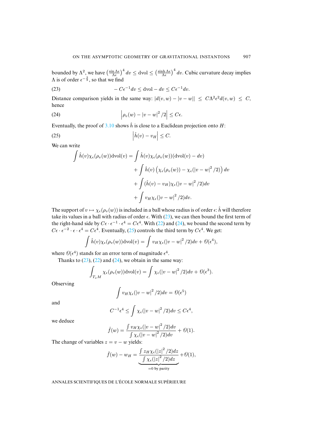<span id="page-25-0"></span>bounded by  $\Lambda^2$ , we have  $\left(\frac{\sin \Lambda \epsilon}{\Lambda \epsilon}\right)^4 dv \leq$  dvol  $\leq \left(\frac{\sinh \Lambda \epsilon}{\Lambda \epsilon}\right)^4 dv$ . Cubic curvature decay implies  $\Lambda$  is of order  $\epsilon^{-\frac{3}{2}}$ , so that we find

<span id="page-25-2"></span>(23) 
$$
-C\epsilon^{-1}dv \leq dvol - dv \leq C\epsilon^{-1}dv.
$$

Distance comparison yields in the same way:  $|d(v, w) - |v - w|| \leq C \Lambda^2 \epsilon^2 d(v, w) \leq C$ , hence

(24) 
$$
\left|\rho_v(w)-|v-w|^2/2\right|\leq C\epsilon.
$$

Eventually, the proof of  $3.10$  shows  $\hat{h}$  is close to a Euclidean projection onto H:

$$
(25) \qquad \left| \hat{h}(v) - v_H \right| \leq C.
$$

We can write

<span id="page-25-1"></span>
$$
\int \hat{h}(v)\chi_{\epsilon}(\rho_{v}(w))\mathrm{dvol}(v) = \int \hat{h}(v)\chi_{\epsilon}(\rho_{v}(w))(\mathrm{dvol}(v) - dv) \n+ \int \hat{h}(v)\left(\chi_{\epsilon}(\rho_{v}(w)) - \chi_{\epsilon}(|v - w|^{2}/2)\right)dv \n+ \int (\hat{h}(v) - v_{H})\chi_{\epsilon}(|v - w|^{2}/2)dv \n+ \int v_{H}\chi_{\epsilon}(|v - w|^{2}/2)dv.
$$

The support of  $v \mapsto \chi_{\epsilon}(\rho_v(w))$  is in[clud](#page-25-1)ed in a ball whose radius is of order  $\epsilon$ :  $\hat{h}$  will therefore take its values in a ball with radius of order  $\epsilon$ . With (23), we can then bound the first term of the right-hand side by  $C\epsilon \cdot \epsilon^{-1} \cdot \epsilon^4 = C\epsilon^4$ . With (22) and (24), we bound the second term by  $C\epsilon \cdot \epsilon^{-2} \cdot \epsilon \cdot \epsilon^4 = C\epsilon^4$ . Eventually, (25) controls the third term by  $C\epsilon^4$ . We get:

$$
\int \hat{h}(v)\chi_{\epsilon}(\rho_v(w))\mathrm{dvol}(v) = \int v_H\chi_{\epsilon}(|v-w|^2/2)dv + \Theta(\epsilon^4),
$$

where  $\mathcal{O}(\epsilon^4)$  stands for an error term of magnitude  $\epsilon^4$ .

Thanks to  $(23)$ ,  $(22)$  and  $(24)$ , we obtain in the same way:

$$
\int_{T_xM}\chi_{\epsilon}(\rho_v(w))\mathrm{dvol}(v)=\int \chi_{\epsilon}(|v-w|^2/2)dv+\mathcal{O}(\epsilon^3).
$$

Observing

$$
\int v_H \chi_{\epsilon}(|v-w|^2/2) dv = \Theta(\epsilon^5)
$$

and

$$
C^{-1}\epsilon^4 \le \int \chi_{\epsilon}(|v-w|^2/2)dv \le C\epsilon^4,
$$

we deduce

$$
\hat{f}(w) = \frac{\int v_H \chi_{\epsilon}(|v-w|^2/2)dv}{\int \chi_{\epsilon}(|v-w|^2/2)dv} + \mathcal{O}(1).
$$

The change of variables  $z = v - w$  yields:

$$
\hat{f}(w) - w_H = \underbrace{\int z_H \chi_{\epsilon}(|z|^2/2) dz}_{=0 \text{ by parity}} + \mathcal{O}(1),
$$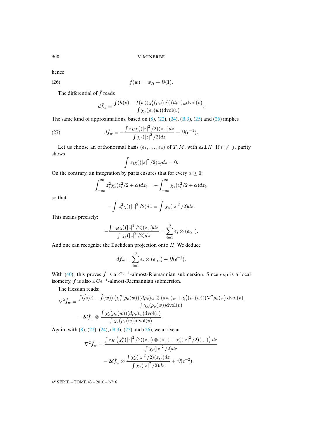hence

$$
(26) \qquad \qquad \hat{f}(w) = w_H + \Theta(1).
$$

The differential of  $\hat{f}$  reads

<span id="page-26-0"></span>
$$
d\hat{f}_w = \frac{\int (\hat{h}(v) - \hat{f}(w)) \chi_{\epsilon}'(\rho_v(w)) (d\rho_v)_w \text{dvol}(v)}{\int \chi_{\epsilon}(\rho_v(w)) \text{dvol}(v)}.
$$

The same kind of approximations, based on  $(8)$ ,  $(22)$ ,  $(24)$ ,  $(B.3)$ ,  $(25)$  and  $(26)$  implies

(27) 
$$
d\hat{f}_w = -\frac{\int z_H \chi_{\epsilon}'(|z|^2/2)(z,.)dz}{\int \chi_{\epsilon}(|z|^2/2)dz} + \Theta(\epsilon^{-1}).
$$

Let us choose an orthonormal basis  $(e_1, \ldots, e_4)$  of  $T_xM$ , with  $e_4 \perp H$ . If  $i \neq j$ , parity shows

$$
\int z_i \chi_{\epsilon}'(|z|^2/2) z_j dz = 0.
$$

On the contrary, an integration by parts ensures that for every  $\alpha \geq 0$ :

$$
\int_{-\infty}^{\infty} z_i^2 \chi_{\epsilon}'(z_i^2/2 + \alpha) dz_i = - \int_{-\infty}^{\infty} \chi_{\epsilon}(z_i^2/2 + \alpha) dz_i,
$$

so that

$$
-\int z_i^2 \chi_{\epsilon}'(|z|^2/2)dz = \int \chi_{\epsilon}(|z|^2/2)dz.
$$

This means precisely:

$$
-\frac{\int z_H \chi_{\epsilon}'(|z|^2/2)(z,.)dz}{\int \chi_{\epsilon}(|z|^2/2)dz} = \sum_{i=1}^3 e_i \otimes (e_i,.).
$$

And one can recognize the Euclidean projection onto  $H$ . We deduce

$$
d\hat{f}_w = \sum_{i=1}^3 e_i \otimes (e_i,.) + \mathcal{O}(\epsilon^{-1}).
$$

With (40), this proves  $\hat{f}$  is a  $C\epsilon^{-1}$ -almost-Riemannian submersion. Since exp is a local isometry, f is also a  $C\epsilon^{-1}$ -almost-Riemannian submersion.

The Hessian reads:

$$
\nabla^2 \hat{f}_w = \frac{\int (\hat{h}(v) - \hat{f}(w)) \left( \chi_\epsilon''(\rho_v(w)) (d\rho_v)_w \otimes (d\rho_v)_w + \chi_\epsilon'(\rho_v(w)) (\nabla^2 \rho_v)_w \right) dvol(v)}{\int \chi_\epsilon(\rho_v(w)) dvol(v)} - 2d\hat{f}_w \otimes \frac{\int \chi_\epsilon'(\rho_v(w)) (d\rho_v)_w) dvol(v)}{\int \chi_\epsilon(\rho_v(w)) dvol(v)}.
$$

Again, with (8), (22), (24), (B.3), (25) and (26), we arrive at

$$
\nabla^2 \hat{f}_w = \frac{\int z_H \left( \chi_{\epsilon}''(|z|^2/2)(z,.) \otimes (z,.) + \chi_{\epsilon}'(|z|^2/2)(.,.) \right) dz}{\int \chi_{\epsilon}(|z|^2/2) dz}
$$

$$
-2d\hat{f}_w \otimes \frac{\int \chi_{\epsilon}'(|z|^2/2)(z,.) dz}{\int \chi_{\epsilon}(|z|^2/2) dz} + \mathcal{O}(\epsilon^{-2}).
$$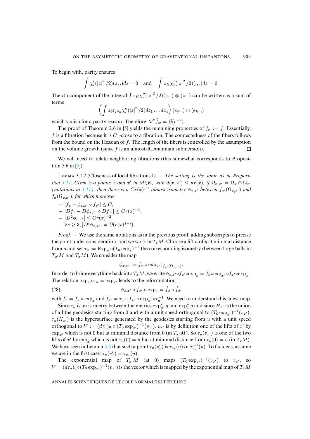To begin with, parity ensures

$$
\int \chi_{\epsilon}'(|z|^2/2)(z,.)dz = 0 \text{ and } \int z_H \chi_{\epsilon}'(|z|^2/2)(.,.)dz = 0.
$$

The *i*th component of the integral  $\int z_H \chi \chi''_{\epsilon}(|z|^2/2)(z,.) \otimes (z,.)$  can be written as a sum of terms

$$
\left(\int z_iz_jz_k\chi''_{\epsilon}(|z|^2/2)dz_1\ldots dz_4\right)(e_j,.)\otimes(e_k,.)
$$

which vanish for a parity reason. Therefore:  $\nabla^2 \hat{f}_w = \theta(\epsilon^{-2})$ .

The proof of Theorem 2.6 in [5] yields the remaining properties of  $f_x := f$ . Essentially, f is a fibration because it is  $C^1$ -close to a fibration. The connectedness of the fibers follows from the b[ou](#page-41-10)nd on the Hessian of f. The length of the fibers is controlled by the assumption on the volume growth (since f is an almost-Riemannian submersion). П

<span id="page-27-1"></span>We will need to relate neighboring fibrations (this somewhat corresponds to Proposition [5.6 in](#page-24-1) [5][\).](#page-24-1)

LEMMA 3.12 (Closeness of local fibrations I). – *The setting is the same as in Proposition* 3.11. Given two points x and x' in  $M\backslash K$ , with  $d(x, x') \leq \kappa r(x)$ , if  $\Omega_{x, x'} = \Omega_x \cap \Omega_{x'}$ *(notations in 3.11), then there is a*  $Cr(x)^{-1}$ -almost-isometry  $\phi_{x,x'}$  between  $f_{x'}(\Omega_{x,x'})$  and  $f_x(\Omega_{x,x'})$ , for which moreover

 $- |f_x - φ_{x,x'} \circ f_{x'}|$  ≤ *C*,  $- |Df_x - D\phi_{x,x'}|$  ∘  $Df_{x'}|$  ≤  $Cr(x)^{-1}$ ,  $-|D^2 \phi_{x,x'}| \leq Cr(x)^{-2},$  $- \forall i \geq 3, |D^i \phi_{x,x'}| = \mathcal{O}(r(x)^{1-i}).$ 

*Proof*. – We use the same notations as in the previous proof, adding subscripts to precise the point under consideration, and we work in  $T_xM$ . Choose a lift u of y at minimal distance from *o* and set  $\tau_u := \text{Exp}_u \circ (T_u \exp_x)^{-1}$  the corresponding isometry (between large balls in  $T_{x}M$  and  $T_{x}M$ ). We consider the map

<span id="page-27-0"></span>
$$
\phi_{x,x'} := f_x \circ \exp_{x'}|_{f_{x'}(\Omega_{x,x'})}.
$$

In order to bring everything back into  $T_xM$ , we write  $\phi_{x,x'}\circ f_{x'}\circ \exp_x = f_x\circ \exp_{x'}\circ f_{x'}\circ \exp_x$ . The relation  $\exp_x \circ \tau_u = \exp_{x'}$  leads to the reformulation

(28) 
$$
\phi_{x,x'} \circ f_{x'} \circ \exp_x = \hat{f}_x \circ \tilde{f}_{x'}
$$

with  $\hat{f}_x = f_x \circ \exp_x$  and  $\tilde{f}_{x'} = \tau_u \circ f_{x'} \circ \exp_{x'} \circ \tau_u^{-1}$ . We need to understand this latest map.

Since  $\tau_u$  is an isometry between the metrics  $\exp_{x'}^* g$  and  $\exp_x^* g$  and since  $H_{x'}$  is the union of all the geodesics starting from 0 and with a unit speed orthogonal to  $(T_0 \exp_{x'})^{-1}(v_{x'})$ ,  $\tau_u(H_{x'})$  is the hypersurface generated by the geodesics starting from u with a unit speed orthogonal to  $V := (d\tau_u)_0 \circ (T_0 \exp_{x'})^{-1}(v_{x'})$  $V := (d\tau_u)_0 \circ (T_0 \exp_{x'})^{-1}(v_{x'})$  $V := (d\tau_u)_0 \circ (T_0 \exp_{x'})^{-1}(v_{x'})$ .  $v_{x'}$  is by definition one of the lifts of  $x'$  by  $\exp_{x'}$  which is not 0 but at minimal distance from 0 (in  $T_{x'}M$ ). So  $\tau_u(v_{x'})$  is one of the two lifts of x' by  $\exp_x$  which is not  $\tau_u(0) = u$  but at minimal distance from  $\tau_u(0) = u$  (in  $T_xM$ ). We have seen in Lemma 3.3 that such a point  $\tau_u(v'_x)$  is  $\tau_{v_x}(u)$  or  $\tau_{v_x}^{-1}(u)$ . To fix ideas, assume we are in the first case:  $\tau_u(v'_x) = \tau_{v_x}(u)$ .

The exponential map of  $T_{x}M$  (at 0) maps  $(T_0 \exp_{x})^{-1}(v_{x})$  to  $v_{x}$ , so  $V = (d\tau_u)_{0} \circ (T_0 \exp_{x'})^{-1}(v_{x'})$  is the vector which is mapped by the exponential map of  $T_xM$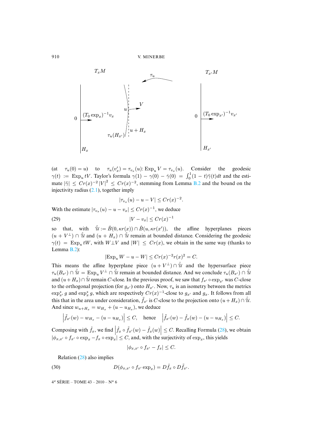

(at  $\tau_u(0) = u$ ) [to](#page-7-2)  $\tau_u(v'_x) = \tau_{v_x}(u)$ : Exp<sub>u</sub>  $V = \tau_{v_x}(u)$ . [Cons](#page-40-1)ider the geodesic  $\gamma(t) := \operatorname{Exp}_u tV$ . Taylor's formula  $\gamma(1) - \gamma(0) - \dot{\gamma}(0) = \int_0^1 (1-t)\ddot{\gamma}(t)dt$  and the estimate  $|\ddot{\gamma}| \leq Cr(x)^{-2} |V|^2 \leq Cr(x)^{-2}$ , stemming from Lemma B.2 and the bound on the injectivity radius (2.1), together imply

<span id="page-28-0"></span>
$$
|\tau_{v_x}(u)-u-V| \le Cr(x)^{-2}.
$$

With the estimate  $|\tau_{v_x}(u) - u - v_x| \leq Cr(x)^{-1}$ , we deduce

$$
(29) \t\t\t |V - v_x| \le Cr(x)^{-1}
$$

so th[at,](#page-40-1) with  $\hat{u} := \hat{B}(0, \kappa r(x)) \cap \hat{B}(u, \kappa r(x'))$ , the affine hyperplanes pieces  $(u + V^{\perp}) \cap \hat{u}$  and  $(u + H_x) \cap \hat{u}$  remain at bounded distance. Considering the geodesic  $\gamma(t) = \text{Exp}_{u} tW$ , with  $W \perp V$  and  $|W| \le Cr(x)$ , we obtain in the same way (thanks to Lemma B.2):

$$
|\text{Exp}_u W - u - W| \le Cr(x)^{-2}r(x)^2 = C.
$$

This means the affine hyperplane piece  $(u + V^{\perp}) \cap \hat{u}$  and the hypersurface piece  $\tau_u(B_{x'}) \cap \hat{u} = \text{Exp}_u V^{\perp} \cap \hat{u}$  remain at bounded distance. And we conclude  $\tau_u(B_{x'}) \cap \hat{u}$ and  $(u + H_x) \cap \hat{U}$  remain C-close. In the previous proof, we saw that  $f_{x'} \circ \exp_{x'}$  was C-close to the orthogonal projection (for  $g_{x}$ ) onto  $H_{x}$ . Now,  $\tau_u$  is an isometry between the metrics  $\exp_{x'}^* g$  and  $\exp_x^* g$ , which are respectively  $Cr(x)^{-1}$ -close to  $g_{x'}$  and  $g_x$ . It follows from all this that in the area under consideration,  $\tilde{f}_{x'}$  is C-close to the projection onto  $(u + H_x) \cap \hat{u}$ . And since  $w_{u+H_x} = w_{H_x} + (u - u_{H_x})$ , we deduce

$$
\left|\tilde{f}_{x'}(w)-w_{H_x}-(u-u_{H_x})\right|\leq C,\quad \text{hence}\quad \left|\tilde{f}_{x'}(w)-\hat{f}_x(w)-(u-u_{H_x})\right|\leq C.
$$

Composing with  $\hat{f}_x$ , we find  $\left| \hat{f}_x \circ \tilde{f}_{x'}(w) - \hat{f}_x(w) \right| \leq C$ . Recalling Formula (28), we obtain  $|\phi_{x,x'} \circ f_{x'} \circ \exp_x - f_x \circ \exp_x| \leq C$  $|\phi_{x,x'} \circ f_{x'} \circ \exp_x - f_x \circ \exp_x| \leq C$  $|\phi_{x,x'} \circ f_{x'} \circ \exp_x - f_x \circ \exp_x| \leq C$ , and, with the surjectivity of  $\exp_x$ , this yields

$$
|\phi_{x,x'} \circ f_{x'} - f_x| \le C.
$$

Relation (28) also implies

(30) 
$$
D(\phi_{x,x'} \circ f_{x'} \exp_x) = D \hat{f}_x \circ D \tilde{f}_{x'}.
$$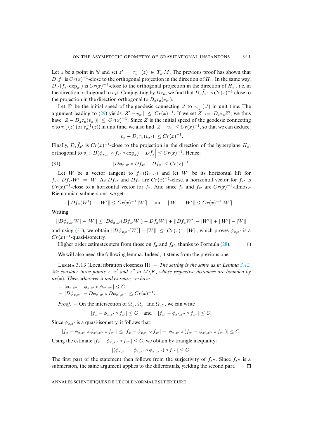Let z be a point in  $\hat{u}$  and set  $z' = \tau_u^{-1}(z) \in T_{x'}M$ . The previous proof has shown that  $D_z \hat{f}_x$  is  $Cr(x)^{-1}$ -close to the orthogonal projection in the direction of  $H_x$ . In the same way,  $D_{z'}(f_{x'} \exp_{x'})$  is  $Cr(x)^{-1}$ -close to the orthogonal projection in the direction of  $H_{x'}$ , i.e. in the direction orthogo[nal t](#page-28-0)o  $v_{x'}$ . Conjugating by  $D\tau_u$ , we find that  $D_z \tilde{f}_{x'}$  is  $Cr(x)^{-1}$  close to the projection in the direction orthogonal to  $D_z\tau_u(v_{x}$ .

Let Z' be the initial speed of the geodesic connecting z' to  $\tau_{v_{x}}(z')$  in unit time. The argument leading to (29) yields  $|Z' - v_{x'}| \leq Cr(x)^{-1}$ . If we set  $Z := D_z \tau_u Z'$ , we thus have  $|Z - D_z \tau_u(v_{x'})| \leq Cr(x)^{-1}$ . Since Z is the initial speed of the geodesic connecting z to  $\tau_{v_x}(z)$  (or  $\tau_{v_x}^{-1}(z)$ ) in unit time, we also find  $|Z - v_x| \le Cr(x)^{-1}$ , so that we can deduce:

$$
|v_x - D_z \tau_u(v_{x'})| \le Cr(x)^{-1}.
$$

Finally,  $D_z \tilde{f}_{x'}$  is  $Cr(x)^{-1}$ -close to the projection in the direction of the hyperplane  $H_x$ , orthogonal to  $v_x$ :  $\left| D(\phi_{x,x'} \circ f_{x'} \circ \exp_x) - D \hat{f}_x \right| \leq C r(x)^{-1}$ . Hence:

(31) 
$$
|D\phi_{x,x'}\circ Df_{x'}-Df_x|\leq Cr(x)^{-1}.
$$

Let W be a vector tangent to  $f_{x}(\Omega_{x,x})$  and let W' be its horizontal lift for  $f_{x'}$ :  $Df_{x'}W' = W$ . As  $D\tilde{f}_{x'}$  and  $D\hat{f}_x$  are  $Cr(x)^{-1}$ -close, a horizontal vector for  $f_{x'}$  is  $Cr(x)^{-1}$ -close to a horizontal vector for  $f_x$ . And since  $f_x$  and  $f_{x'}$  are  $Cr(x)^{-1}$ -almost-Riemannian submersions, we get

$$
||Df_x(W')| - |W'|| \le Cr(x)^{-1} |W'| \quad \text{and} \quad ||W| - |W'|| \le Cr(x)^{-1} |W'|.
$$

Writing

 $||D\phi_{x,x'}W| - |W|| \leq |D\phi_{x,x'}(Df_{x'}W') - Df_xW'| + ||Df_xW'| - |W'|| + ||W'| - |W||$  $||D\phi_{x,x'}W| - |W|| \leq |D\phi_{x,x'}(Df_{x'}W') - Df_xW'| + ||Df_xW'| - |W'|| + ||W'| - |W||$  $||D\phi_{x,x'}W| - |W|| \leq |D\phi_{x,x'}(Df_{x'}W') - Df_xW'| + ||Df_xW'| - |W'|| + ||W'| - |W||$ and using (31), we obtain  $||D\phi_{x,x'}(W)|| - |W|| \le Cr(x)^{-1} |W|$ , which proves  $\phi_{x,x'}$  is a  $Cr(x)^{-1}$ -quasi-isometry.

<span id="page-29-0"></span>Higher order estimates stem from those on  $f_x$  and  $f_{x}$ , thanks to Formula (28).  $\Box$ 

We will also need the following lemma. Indeed, it stems from the previous one.

LEMMA 3.13 (Local fibration closeness II). – *The setting is the same as in Lemma 3.12*. We consider three points x, x' and  $x''$  in  $M\backslash K$ , whose respective distances are bounded by κr(x)*. Then, wherever it makes sense, we have*

$$
- |\phi_{x,x''} - \phi_{x,x'} \circ \phi_{x',x''}| \leq C,
$$
  
-  $|D\phi_{x,x''} - D\phi_{x,x'} \circ D\phi_{x',x''}| \leq Cr(x)^{-1}.$ 

*Proof.* – On the intersection of  $\Omega_x$ ,  $\Omega_{x'}$  and  $\Omega_{x''}$ , we can write

$$
|f_x - \phi_{x,x'} \circ f_{x'}| \le C
$$
 and  $|f_{x'} - \phi_{x',x''} \circ f_{x''}| \le C$ .

Since  $\phi_{x,x'}$  is a quasi-isometry, it follows that:

 $|f_x - \phi_{x,x'} \circ \phi_{x',x''} \circ f_{x''}| \leq |f_x - \phi_{x,x'} \circ f_{x'}| + |\phi_{x,x'} \circ (f_{x'} - \phi_{x',x''} \circ f_{x''})| \leq C.$ 

Using the estimate  $|f_x - \phi_{x,x''}| \leq C$ , we obtain by triangle inequality:

$$
|(\phi_{x,x''}-\phi_{x,x'}\circ\phi_{x',x''})\circ f_{x''}|\leq C.
$$

The first part of the statement then follows from the surjectivity of  $f_{x''}$ . Since  $f_{x''}$  is a submersion, the same argument applies to the differentials, yielding the second part.  $\Box$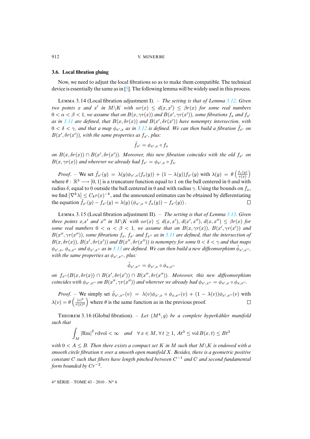## <span id="page-30-0"></span>**3.6. Local fibration gluing**

Now, we need to adjust the local fibrations so as to make them compatible. T[he tec](#page-27-1)hnical device is essentially the same as in [5]. The following lemma will be widely used in this process.

L 3.14 (Local fibration adjustment I). – *The setting is that of Lemma 3.12. Given two points* x and x' in  $M\backslash K$  with  $\alpha r(x) \leq d(x,x') \leq \beta r(x)$  for some real numbers  $0 < \alpha < \beta < 1$ , we assume that on  $B(x, \gamma r(x))$  and  $B(x', \gamma r(x'))$ , some fibrations  $f_x$  and  $f_{x'}$ *as in* 3.11 are defined, that  $B(x, \delta r(x))$  and  $B(x', \delta r(x'))$  have nonempty intersection, with  $0 < \delta < \gamma$ , and that a map  $\phi_{x',x}$  as in 3.12 is defined. We can then build a fibration  $\tilde{f}_{x'}$  on  $B(x', \delta r(x'))$ , with the same properties as  $f_{x'}$ , plus:

$$
\tilde{f}_{x'}=\phi_{x',x}\circ f_x
$$

*on*  $B(x, \delta r(x)) \cap B(x', \delta r(x'))$ . Moreover, this new fibration coincides with the old  $f_{x'}$  on  $B(x, \gamma r(x))$  and wherever we already had  $f_{x'} = \phi_{x',x} \circ f_x$ .

<span id="page-30-1"></span>*Proof.* – We set  $\tilde{f}_{x}(y) = \lambda(y)\phi_{x',x}(f_x(y)) + (1 - \lambda(y))f_{x'}(y)$  with  $\lambda(y) = \theta\left(\frac{f_x(y)}{r(x)}\right)$ where  $\theta : \mathbb{R}^3 \longrightarrow [0, 1]$  is a truncature function equal to 1 on the ball centered in 0 and with radius  $\delta$ , equal to 0 outside the ball centered in 0 and with radius  $\gamma$ . Using the bounds on  $f_x$ , we find  $\left|\nabla^k \lambda\right| \leq C_k r(x)^{-k}$ , and the announced estimates can be obtained by diff[eren](#page-29-0)tiating the equation  $\tilde{f}_{x}(y) - f_{x}(y) = \lambda(y) (\phi_{x',x} \circ f_x(y)) - f_{x'}(y)$ .  $\Box$ 

L 3.15 (Local fibration adjustment II). – *[The s](#page-24-1)etting is that of Lemma 3.13. Given three points*  $x, x'$  *and*  $x''$  *in*  $M\ K$  *with*  $\alpha r(x) \leq d(x, x')$ ,  $d(x', x'')$ ,  $d(x, x'') \leq \beta r(x)$  *for some real numbers*  $0 < \alpha < \beta < 1$ , we assume that on  $B(x, \gamma r(x))$ ,  $B(x', \gamma r(x'))$  and  $B(x'', \gamma r(x''))$ , some fibrations  $f_x$ ,  $f_{x'}$  and  $f_{x''}$  as in 3.11 are defined, that the intersection of  $B(x, \delta r(x))$ ,  $B(x', \delta r(x'))$  and  $B(x'', \delta r(x''))$  is nonempty for some  $0 < \delta < \gamma$  and that maps  $\phi_{x',x}$ ,  $\phi_{x,x''}$  and  $\phi_{x',x''}$  as in 3.13 are defined. We can then build a new diffeomorphism  $\tilde{\phi}_{x',x''}$ , with the same properties as  $\phi_{x',x''}$ , plus:

$$
\tilde{\phi}_{x',x''} = \phi_{x',x} \circ \phi_{x,x''}
$$

on  $f_{x''}(B(x, \delta r(x)) \cap B(x', \delta r(x')) \cap B(x'', \delta r(x''))$ . Moreover, this new diffeomorphism *coincides with*  $\phi_{x',x''}$  *on*  $B(x'', \gamma r(x''))$  *and wherever we already had*  $\phi_{x',x''} = \phi_{x',x} \circ \phi_{x,x''}.$ 

*Proof.* – We simply set  $\tilde{\phi}_{x',x''}(v) = \lambda(v)\phi_{x',x} \circ \phi_{x,x''}(v) + (1 - \lambda(v))\phi_{x',x''}(v)$  with  $\lambda(v) = \theta\left(\frac{|v|^2}{r(x)}\right)$  $\frac{|v|^2}{r(x)^2}$  where  $\theta$  is the same function as in the previous proof.  $\Box$ 

THEOREM 3.16 (Global fibration).  $-$  *Let*  $(M^4, g)$  *be a complete hyperkähler manifold such that*

$$
\int_M |\text{Rm}|^2 r \, \text{dvol} < \infty \quad \text{and} \quad \forall \, x \in M, \, \forall \, t \ge 1, \, At^3 \le \text{vol } B(x, t) \le Bt^3
$$

*with*  $0 \leq A \leq B$ . Then there exists a compact set K in M such that  $M \setminus K$  is endowed with a *smooth circle fibration* π *over a smooth open manifold* X*. Besides, there is a geometric positive constant* C *such that fibers have length pinched between* C <sup>−</sup><sup>1</sup> *and* C *and second fundamental form bounded by* Cr<sup>−</sup><sup>2</sup> *.*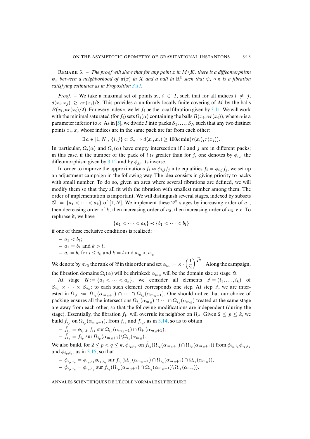REMARK 3. – *The proof will show that for any point* x *in*  $M\K$ , *there is a diffeomorphism*  $\psi_x$  *between a neighborhood of*  $\pi(x)$  *in* X *and a ball in*  $\mathbb{R}^3$  *such that*  $\psi_x \circ \pi$  *is a fibration satisfying estimates as in Proposition 3.11.*

*Proof.* – We take a maximal set of points  $x_i$ ,  $i \in I$ , such that for all indices  $i \neq j$ ,  $d(x_i, x_j) \geq \kappa r(x_i)/8$ . This [pro](#page-41-10)vides a uniformly locally finite covering of M by the balls  $B(x_i, \kappa r(x_i)/2)$ . For every index i, we let  $f_i$  be the local fibration given by 3.11. We will work with the minimal saturated (for  $f_i$ ) sets  $\Omega_i(\alpha)$  containing the balls  $B(x_i,\alpha r(x_i))$ , where  $\alpha$  is a parameter inferior to  $\kappa$ . As in [5], we divide I into packs  $S_1, \ldots, S_N$  such that any two distinct points  $x_i$ ,  $x_j$  whose indices are in the same pack are far from each other:

 $\exists a \in [1, N], \{i, j\} \subset S_a \Rightarrow d(x_i, x_j) \geq 100 \kappa \min(r(x_i), r(x_j)).$  $\exists a \in [1, N], \{i, j\} \subset S_a \Rightarrow d(x_i, x_j) \geq 100 \kappa \min(r(x_i), r(x_j)).$  $\exists a \in [1, N], \{i, j\} \subset S_a \Rightarrow d(x_i, x_j) \geq 100 \kappa \min(r(x_i), r(x_j)).$ 

In particular,  $\Omega_i(\alpha)$  and  $\Omega_i(\alpha)$  have empty intersection if i and j are in different packs; in this case, if the number of the pack of i is greater than for j, one denotes by  $\phi_{i,j}$  the diffeomorphism given by 3.12 and by  $\phi_{i,i}$  its inverse.

In order to improve the approximations  $f_i \approx \phi_{i,j} f_j$  into equalities  $f_i = \phi_{i,j} f_j$ , we set up an adjustment campaign in the following way. The idea consists in giving priority to packs with small number. To do so, given an area where several fibrations are defined, we will modify them so that they all fit with the fibration with smallest number among them. The order of implementation is important. We will distinguish several stages, indexed by subsets  $\mathcal{A} := \{a_1 < \cdots < a_k\}$  of  $[1, N]$ . We implement these  $2^N$  stages by increasing order of  $a_1$ , then decreasing order of k, then increasing order of  $a_2$ , then increasing order of  $a_3$ , etc. To rephrase it, we have

$$
\{a_1 < \cdots < a_k\} \prec \{b_1 < \cdots < b_l\}
$$

if one of these exclusive conditions is realized:

$$
- a1 < b1;\n- a1 = b1 and k > l;\n- ai = bi for  $i \le i_0$  and  $k = l$  and  $ai_0 < bi_0$ .
$$

We denote by  $m_{\mathcal{U}}$  the rank of  $\mathcal{U}$  in this order and set  $\alpha_m := \kappa \cdot \left(\frac{1}{2}\right)$ 2  $\int_{0}^{\frac{m}{2N}}$ . Along the campaign, the fibration domains  $\Omega_i(\alpha)$  will be shrinked:  $\alpha_{m_n}$  will be the domain size at stage  $\alpha$ .

At stage  $\mathcal{U} = \{a_1 < \cdots < a_k\}$ , we consider all elements  $\mathcal{I} = (i_1, \ldots, i_k)$  of  $S_{a_1} \times \cdots \times S_{a_k}$ : to each such element corresponds one step. At step  $\mathcal{I}$ , we are interested in  $\Omega_j := \Omega_{i_1}(\alpha_{m_n+1}) \cap \cdots \cap \Omega_{i_k}(\alpha_{m_n+1})$ . One should notice that our choice of packing ensures all the intersections  $\Omega_{i_1}(\alpha_{m_n}) \cap \cdots \cap \Omega_{i_k}(\alpha_{m_n})$  treated at the same stage are away from each other, so that the following modifications are independent (during the stage). Essentially, the fibration  $f_{i_1}$  will overrule its neighbor on  $\Omega_{\mathcal{J}}$ . Given  $2 \leq p \leq k$ , we build  $\tilde{f}_{i_p}$  on  $\Omega_{i_p}(\alpha_{m_n+1})$ , from  $f_{i_1}$  and  $f_{i_p}$ , as in 3.14, so as to obtain

$$
- \tilde{f}_{i_p} = \phi_{i_p,i_1} f_{i_1} \operatorname{sur} \Omega_{i_p}(\alpha_{m_n+1}) \cap \Omega_{i_1}(\alpha_{m_n+1}),
$$

$$
- \tilde{f}_{i_p} = f_{i_p} \operatorname{sur} \Omega_{i_p}(\alpha_{m_{\mathcal{B}}+1}) \backslash \Omega_{i_1}(\alpha_{m_{\mathcal{B}}}).
$$

We also build, for  $2 \le p < q \le k$ ,  $\tilde{\phi}_{i_p,i_q}$  on  $\tilde{f}_{i_q}(\Omega_{i_p}(\alpha_{m_{\vartheta}+1}) \cap \Omega_{i_q}(\alpha_{m_{\vartheta}+1}))$  from  $\phi_{i_p,i_1}\phi_{i_1,i_q}$ and  $\phi_{i_p,i_q}$ , as in 3.15, so that

$$
- \tilde{\phi}_{i_p,i_q} = \phi_{i_p,i_1} \phi_{i_1,i_q} \operatorname{sur} \tilde{f}_{i_q} (\Omega_{i_p}(\alpha_{m_{\mathcal{U}}+1}) \cap \Omega_{i_q}(\alpha_{m_{\mathcal{U}}+1}) \cap \Omega_{i_1}(\alpha_{m_{\mathcal{U}}}) ),
$$
  

$$
- \tilde{\phi}_{i_p,i_q} = \phi_{i_p,i_q} \operatorname{sur} \tilde{f}_{i_q} (\Omega_{i_p}(\alpha_{m_{\mathcal{U}}+1}) \cap \Omega_{i_q}(\alpha_{m_{\mathcal{U}}+1}) \setminus \Omega_{i_1}(\alpha_{m_{\mathcal{U}}})).
$$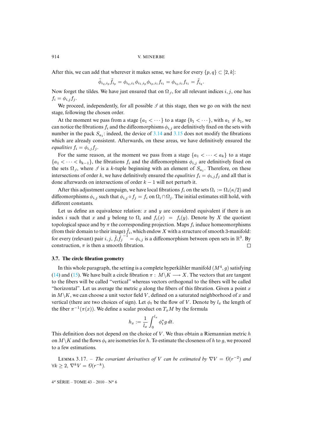After this, we can add that wherever it makes sense, we have for every  $\{p, q\} \subset [2, k]$ :

$$
\tilde{\phi}_{i_q,i_p}\tilde{f}_{i_p} = \phi_{i_q,i_1}\phi_{i_1,i_p}\phi_{i_p,i_1}f_{i_1} = \phi_{i_q,i_1}f_{i_1} = \tilde{f}_{i_q}.
$$

Now forget the tildes. We have just ensured that on  $\Omega_{\mathcal{J}}$ , for all relevant indices  $i, j$ , one has  $f_i = \phi_{i,j} f_j.$ 

We proceed, independently, for all possible  $\mathcal I$  at this stage, then we go on with the next stage, following the chosen order.

At the moment we pass from a stage  $\{a_1 < \cdots\}$  to a stage  $\{b_1 < \cdots\}$ , with  $a_1 \neq b_1$ , we can notice the fibrations  $f_i$  and the diffeomorphisms  $\phi_{i,j}$  are definitively fixed on the sets with number in the pack  $S_{a_1}$ : indeed, the device of 3.14 and 3.15 does not modify the fibrations which are already consistent. Afterwards, on these areas, we have definitively ensured the *equalities*  $f_i = \phi_{i,j} f_j$ .

For the same reason, at the moment we pass from a stage  $\{a_1 < \cdots < a_k\}$  to a stage  ${a_1 < \cdots < b_{k-1}}$ , the fibrations  $f_i$  and the diffeomorphisms  $\phi_{i,j}$  are definitively fixed on the sets  $\Omega_{\mathcal{J}}$ , where  $\mathcal{J}$  is a k-tuple beginning with an element of  $S_{a_1}$ . Therefore, on these intersections of order k, we have definitively ensured the *equalities*  $f_i = \phi_{i,j} f_j$  and all that is done afterwards on intersections of order  $k - 1$  will not perturb it.

After this adjustment campaign, we have local fibrations  $f_i$  on the sets  $\Omega_i := \Omega_i(\kappa/2)$  and diffeomorphisms  $\phi_{i,j}$  such that  $\phi_{i,j} \circ f_j = f_i$  on  $\Omega_i \cap \Omega_j$ . The initial estimates still hold, with different constants.

Let us define an equivalence relation:  $x$  and  $y$  are considered equivalent if there is an index i such that x and y belong to  $\Omega_i$  and  $f_i(x) = f_i(y)$ . Denote by X the quotient topological space and by  $\pi$  the corresponding projection. Maps  $f_i$  induce homeomorphisms (from their domain to their image)  $\check{f}_i$ , which endow X with a structure of smooth 3-manifold: for every (relevant) pair  $i, j, \check{f_i} \check{f_j}^{-1} = \phi_{i,j}$  is a diffeomorphism between open sets in  $\mathbb{R}^3$ . By construction,  $\pi$  is then a smooth fibration.  $\Box$ 

## **[3.7.](#page-19-1) The [circ](#page-19-2)le fibration geometry**

In this whole paragraph, the setting is a complete hyperkähler manifold  $(M^4, g)$  satisfying (14) and (15). We have built a circle fibration  $\pi : M\backslash K \longrightarrow X$ . The vectors that are tangent to the fibers will be called "vertical" whereas vectors orthogonal to the fibers will be called "horizontal". Let us average the metric q along the fibers of this fibration. Given a point x in  $M\backslash K$ , we can choose a unit vector field V, defined on a saturated neighborhood of x and vertical (there are two choices of sign). Let  $\phi_t$  be the flow of V. Denote by  $l_x$  the length of the fiber  $\pi^{-1}(\pi(x))$ . We define a scalar product on  $T_xM$  by the formula

$$
h_x := \frac{1}{l_x} \int_0^{l_x} \phi_t^* g \, dt.
$$

<span id="page-32-0"></span>This definition does not depend on the choice of  $V$ . We thus obtain a Riemannian metric  $h$ on  $M\setminus K$  and the flows  $\phi_t$  are isometries for h. To estimate the closeness of h to q, we proceed to a few estimations.

LEMMA 3.17. – *The covariant derivatives of V can be estimated by*  $\nabla V = \Theta(r^{-2})$  *and*  $\forall k \geq 2, \, \nabla^k V = \mathcal{O}(r^{-k}).$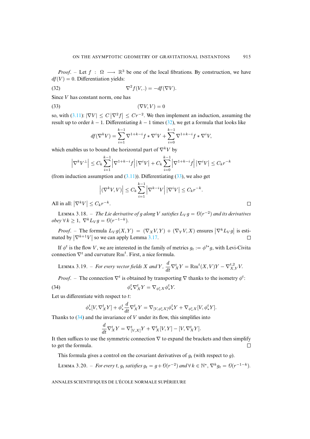*Proof.* – Let  $f : \Omega \longrightarrow \mathbb{R}^3$  be one of the local fibrations. By construction, we have  $df(V) = 0$ . Differentiation yields:

(32) 
$$
\nabla^2 f(V,.) = -df(\nabla V).
$$

Since V [has co](#page-24-1)nstant norm, one has

$$
(33)\t\t\t (\nabla V, V) = 0
$$

so, with (3.11):  $|\nabla V| \leq C |\nabla^2 f| \leq Cr^{-2}$ . We then implement an induction, assuming the result up to order  $k - 1$ . Differentiating  $k - 1$  times (32), we get a formula that looks like

$$
df(\nabla^k V) = \sum_{i=1}^{k-1} \nabla^{1+k-i} f * \nabla^i V + \sum_{i=0}^{k-1} \nabla^{1+k-i} f * \nabla^i V,
$$

which enables us to bound the horizontal part of  $\nabla^k V$  by

$$
\left|\nabla^{k}V^{\perp}\right| \leq C_{k}\sum_{i=1}^{k-1}\left|\nabla^{1+k-i}f\right|\left|\nabla^{i}V\right| + C_{k}\sum_{i=0}^{k-1}\left|\nabla^{1+k-i}f\right|\left|\nabla^{i}V\right| \leq C_{k}r^{-k}
$$

(from induction assumption and  $(3.11)$ ). Differentiating  $(33)$ , we also get

$$
\left| \left( \nabla^k V, V \right) \right| \leq C_k \sum_{i=1}^{k-1} \left| \nabla^{k-i} V \right| \left| \nabla^i V \right| \leq C_k r^{-k}.
$$

All in all:  $\left|\nabla^k V\right| \leq C_k r^{-k}$ .

LEMMA 3.18. – *The Lie derivative of g al[ong](#page-32-0)* V *satisfies*  $L_V g = \theta(r^{-2})$  *and its derivatives*  $obey \forall k \geq 1, \nabla^k L_V g = \mathcal{O}(r^{-1-k}).$ 

 $\Box$ 

<span id="page-33-1"></span>*Proof.* – The formula  $L_V g(X, Y) = (\nabla_X V, Y) + (\nabla_Y V, X)$  ensures  $|\nabla^k L_V g|$  is estimated by  $\left|\nabla^{k+1}V\right|$  so we can apply Lemma 3.17.  $\Box$ 

If  $\phi^t$  is the flow V, we are interested in the family of metrics  $g_t := \phi^{t*}g$ , with Levi-Civita connection  $\nabla^t$  and curvature  $\text{Rm}^t$ . First, a nice formula.

LEMMA 3.19. – *For every vector fields* X and Y,  $\frac{d}{dt}\nabla_X^t Y = \text{Rm}^t(X, V)Y - \nabla_{X,Y}^{t,2} V$ .

*Proof.* – The connection  $\nabla^t$  is obtained by transporting  $\nabla$  thanks to the isometry  $\phi^t$ :

(34) 
$$
\phi_*^t \nabla_X^t Y = \nabla_{\phi_*^t X} \phi_*^t Y.
$$

Let us diffe[ren](#page-33-0)tiate with respect to t:

<span id="page-33-0"></span>
$$
\phi_*^t[V, \nabla_X^t Y] + \phi_*^t \frac{d}{dt} \nabla_X^t Y = \nabla_{[V, \phi_*^t X]} \phi_*^t Y + \nabla_{\phi_*^t X} [V, \phi_*^t Y].
$$

Thanks to  $(34)$  and the invariance of V under its flow, this simplifies into

$$
\frac{d}{dt}\nabla^t_X Y = \nabla^t_{[V,X]}Y + \nabla^t_X[V,Y] - [V,\nabla^t_X Y].
$$

<span id="page-33-2"></span>It then suffices to use the symmetric connection  $\nabla$  to expand the brackets and then simplify to get the formula.  $\Box$ 

This formula gives a control on the covariant derivatives of  $g_t$  (with respect to g).

LEMMA 3.20. – *For every t,*  $g_t$  *satisfies*  $g_t = g + \mathcal{O}(r^{-2})$  and  $\forall k \in \mathbb{N}^*, \nabla^k g_t = \mathcal{O}(r^{-1-k})$ .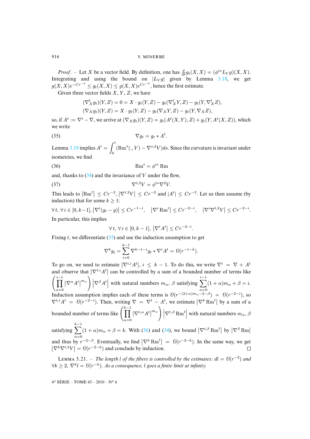*Proof.* – Let X be a vector field. By definition, one has  $\frac{d}{dt}g_t(X,X) = (\phi^{t*}L_V g)(X,X)$ . Integrating and using the bound on  $|L_V g|$  given by Lemma 3.18, we get  $g(X, X)e^{-Cr^{-2}} \leq g_t(X, X) \leq g(X, X)e^{Cr^{-2}}$ , hence the first estimate.

Given three vector fields  $X, Y, Z$ , we have

<span id="page-34-0"></span>
$$
(\nabla_X^t g_t)(Y, Z) = 0 = X \cdot g_t(Y, Z) - g_t(\nabla_X^t Y, Z) - g_t(Y, \nabla_X^t Z),
$$
  

$$
(\nabla_X g_t)(Y, Z) = X \cdot g_t(Y, Z) - g_t(\nabla_X Y, Z) - g_t(Y, \nabla_X Z),
$$

so, if  $A^t := \nabla^t - \nabla$  $A^t := \nabla^t - \nabla$  $A^t := \nabla^t - \nabla$ , we arrive at  $(\nabla_X g_t)(Y, Z) = g_t(A^t(X, Y), Z) + g_t(Y, A^t(X, Z))$ , which we write

$$
\nabla g_t = g_t * A^t.
$$

Lemma 3.19 implies  $A^t = \int_0^t$ 0  $(\text{Rm}^s(., V) - \nabla^{s,2} V)$ ds. Since the curvature is invariant under isometries, we [find](#page-33-0)

$$
\mathbf{Rm}^t = \phi^{t*} \mathbf{Rm}
$$

and, thanks to  $(34)$  and the invariance of V under the flow.

$$
\nabla^{t,2}V = \phi^{t*}\nabla^2V.
$$

This leads to  $\left|\text{Rm}^t\right| \leq Cr^{-3}$ ,  $\left|\nabla^{t,2}V\right| \leq Cr^{-2}$  and  $|A^t| \leq Cr^{-2}$ . Let us then assume (by induction) that for some  $k \geq 1$ :

 $\forall t, \forall i \in [0, k-1], |\nabla^i(g_t - g)| \leq Cr^{-1-i}, \quad |\nabla^i \text{Rm}^t| \leq Cr^{-2-i}, \quad |\nabla^i \nabla^{t,2} V| \leq Cr^{-2-i}.$ In particular, this implies

$$
\forall t, \forall i \in [0, k-1], \left| \nabla^i A^t \right| \leq C r^{-2-i}.
$$

Fixing t, we differentiate  $(35)$  and use the induction assumption to get

$$
\nabla^k g_t = \sum_{i=0}^{k-1} \nabla^{k-1-i} g_t * \nabla^i A^t = \mathcal{O}(r^{-1-k}).
$$

To go on, we need to estimate  $|\nabla^{t,i} A^t|, i \leq k - 1$ . To do this, we write  $\nabla^t = \nabla + A^t$ and observe that  $|\nabla^{t,i} A^t|$  can be controlled by a sum of a bounded number of terms like  $\left( \prod_{\alpha=0}^{i-1} |\nabla^{\alpha} A^t|^{m_{\alpha}} \right) |\nabla^{\beta} A^t|$  with natural numbers  $m_{\alpha}$ ,  $\beta$  satisfying  $\sum_{\alpha=0}^{i-1}$ A a=0<br>Induction assumption implies each of these terms is  $\mathcal{O}(r^{-(2+\alpha)m_\alpha-2-\beta}) = \mathcal{O}(r^{-2-i})$ , so  $(1 + \alpha)m_{\alpha} + \beta = i.$  $\nabla^{t,i} A^t = \Theta(r^{-2-i})$ . Then, writing  $\nabla = \nabla^t - A^t$ , we estimate  $|\nabla^k \text{Rm}^t|$  by a sum of a bounded number of terms like  $\left(\prod^{k-1}\right)$  $\alpha = 0$  $\left\vert \nabla^{t,\alpha} A^t\right\vert^{m_\alpha}\bigg)\left\vert \nabla^{t,\beta} \operatorname{Rm}^t\right\vert$  $\left\vert \nabla^{t,\alpha} A^t\right\vert^{m_\alpha}\bigg)\left\vert \nabla^{t,\beta} \operatorname{Rm}^t\right\vert$  $\left\vert \nabla^{t,\alpha} A^t\right\vert^{m_\alpha}\bigg)\left\vert \nabla^{t,\beta} \operatorname{Rm}^t\right\vert$  with natural numbers  $m_\alpha$ ,  $\beta$ 

<span id="page-34-1"></span> $\sum_{k=1}^{k-1} (1+\alpha)m_\alpha + \beta = k$ . With (36) and (34), we bound  $\left|\nabla^{t,\beta} \text{Rm}^t\right|$  by  $\left|\nabla^\beta \text{Rm}\right|$ satisfying  $\alpha = 0$ and thus by  $r^{-2-\beta}$ . Eventually, we find  $|\nabla^k \text{Rm}^t| = \Theta(r^{-2-k})$ . In the same way, we get  $|\nabla^k \nabla^{t,2} V| = \Theta(r^{-2-k})$  and conclude by induction.  $\Box$ 

LEMMA 3.21. – *The length l* of the fibers is controlled by the estimates:  $dl = \theta(r^{-2})$  and  $\forall k \geq 2, \, \nabla^k l = \mathcal{O}(r^{-k}).$  As a consequence,  $l$  goes a finite limit at infinity.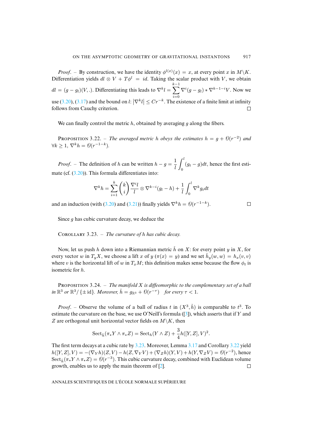*Proof.* – By construction, we have the identity  $\phi^{l(x)}(x) = x$ , at every point x in  $M\backslash K$ . Diff[erent](#page-33-2)ia[tion y](#page-32-0)ields  $dl \otimes V + T\phi^l = id$ . Taking the scalar product with V, we obtain  $\sum_{k=1}^{k-1} \nabla^i (g - g_l) * \nabla^{k-1-i} V$ . Now we  $dl = (g - g_l)(V,.)$ . Differentiating this leads to  $\nabla^k l =$  $i=0$ use (3.20), (3.17) and the bound on  $l: |\nabla^k l| \le Cr^{-k}$ . The existence of a finite limit at infinity follows from Cauchy criterion.  $\Box$ 

We can finally control the metric  $h$ , obtained by averaging  $q$  along the fibers.

**PROPOSITION** 3.22. – *The averaged metric h obeys the estimates*  $h = g + \theta(r^{-2})$  *and*  $\forall k \geq 1, \nabla^k h = \mathcal{O}(r^{-1-k}).$ 

*Proof.* – The definition of h can be written  $h - g = \frac{1}{h}$ l  $\int_0^l$  $\int_0^{\infty} (g_t - g) dt$ , hence the first estimate (cf. (3.20)). This formula differentiates into:

$$
\nabla^k h = \sum_{i=1}^k \binom{k}{i} \frac{\nabla^i l}{l} \otimes \nabla^{k-i} (g_l - h) + \frac{1}{l} \int_0^l \nabla^k g_t dt
$$

 $\Box$ 

<span id="page-35-0"></span>and an induction (with (3.20) and (3.21)) finally yields  $\nabla^k h = \mathcal{O}(r^{-1-k})$ .

Since  $g$  has cubic curvature decay, we deduce the

COROLLARY 3.23. – *The curvature of h has cubic decay*.

Now, let us push h down into a Riemannian metric  $\check{h}$  on X: for every point y in X, for every vector w in  $T_y X$ , we choose a lift x of  $y(\pi(x) = y)$  and we set  $\check{h}_y(w, w) = h_x(v, v)$ where v is the horizontal lift of w in  $T_xM$ ; this definition makes sense because the flow  $\phi_t$  is isometric for h.

PROPOSITION 3.24. – *The manifold X is diffeomorphic to the complementary set of a ball*  $\lim \mathbb{R}^3$  or  $\mathbb{R}^3/\{\pm \text{id}\}$ . Moreover,  $\check{h} = g_{\mathbb{R}^3} + \mathcal{O}(r^{-\tau})$  for every  $\tau < 1$ .

*Proof.* – Observe the volume of a ball of radius t in  $(X^3, \check{h})$  is comparable to  $t^3$ . To estimate the curvature on the base, we use O'Neill's formula ([3]), which asserts that if Y and Z are orthogonal unit horizontal vect[or fie](#page-35-0)lds on  $M\setminus K$ , then

$$
\mathrm{Sect}_{\check{h}}(\pi_*Y\wedge \pi_*Z)=\mathrm{Sect}_{h}(Y\wedge Z)+\frac{3}{4}h([Y,Z],V)^2.
$$

The first term decays at a cubic rate by 3.23. More[ov](#page-41-8)er, Lemma 3.17 and Corollary 3.22 yield  $h([Y,Z],V) = -(\nabla_Y h)(Z,V) - h(Z, \nabla_Y V) + (\nabla_Z h)(Y, V) + h(Y, \nabla_Z V) = \Theta(r^{-2}),$  hence Sect<sub>h</sub> $(\pi_* Y \wedge \pi_* Z) = \Theta(r^{-3})$ . This cubic curvature decay, combined with Euclidean volume growth, enables us to apply the main theorem of [2].  $\Box$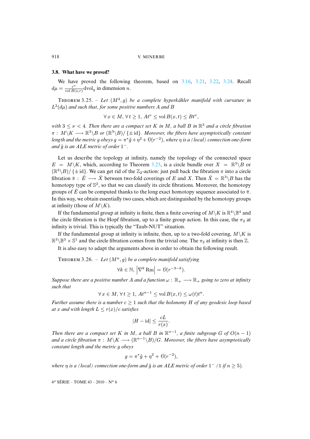# <span id="page-36-1"></span>**3.8. What have we proved?**

We have proved the following theorem, based on 3.16, 3.21, 3.22, 3.24. Recall  $d\mu = \frac{r^n}{\text{vol }B}$  $\frac{r^n}{\text{vol }B(o,r)}$  dvol<sub>g</sub> in dimension *n*.

THEOREM 3.25. – Let  $(M^4, g)$  be a complete hyperkähler manifold with curvature in  $L^2(d\mu)$  and such that, for some positive numbers A and B

$$
\forall x \in M, \forall t \ge 1, At^{\nu} \le \text{vol } B(x,t) \le Bt^{\nu},
$$

with  $3 \leq \nu < 4$ . Then there are a compact set K in M, a ball B in  $\mathbb{R}^3$  and a circle fibration  $\pi: M\backslash K \longrightarrow \mathbb{R}^3\backslash B$  or  $(\mathbb{R}^3\backslash B)/\{\pm \operatorname{id}\}$ *. Moreover, the fibers have asymptotically constant* length and the met[r](#page-36-1)ic  $g$  obeys  $g = \pi^*\tilde{g} + \eta^2 + \mathcal{O}(r^{-2}),$  where  $\eta$  is a (local) connection one-form and  $\tilde{g}$  *is an ALE metric of order*  $1^-$ .

Let us describe the topology at infinity, namely the topology of the connected space  $E = M\backslash K$ , which, according to Theorem 3.25, is a circle bundle over  $X = \mathbb{R}^3\backslash B$  or  $(\mathbb{R}^3 \setminus B) / \{\pm id\}$ . We can get rid of the  $\mathbb{Z}_2$ -action: just pull back the fibration  $\pi$  into a circle fibration  $\bar{\pi}$  :  $\bar{E} \longrightarrow \bar{X}$  between two-fold coverings of E and X. Then  $\bar{X} = \mathbb{R}^3 \backslash B$  has the homotopy type of  $\mathbb{S}^2$ , so that we can classify its circle fibrations. Moreover, the homotopy groups of  $\bar{E}$  can be computed thanks to the long exact homotopy sequence associated to  $\bar{\pi}$ . In this way, we obtain essentially two cases, which are distinguished by the homotopy groups at infinity (those of  $M\backslash K$ ).

If the fundamental group at infinity is finite, then a finite covering of  $M\backslash K$  is  $\mathbb{R}^4\backslash\mathbb{B}^4$  and the circle fibration is the Hopf fibration, up to a finite group action. In this case, the  $\pi_2$  at infinity is trivial. This is typically the "Taub-NUT" situation.

<span id="page-36-0"></span>If the fundamental group at infinity is infinite, then, up to a two-fold covering,  $M\setminus K$  is  $\mathbb{R}^3 \backslash \mathbb{B}^3 \times \mathbb{S}^1$  and the circle fibration comes from the trivial one. The  $\pi_2$  at infinity is then Z.

It is also easy to adapt the arguments above in order to obtain the following result.

THEOREM 3.26. – Let  $(M^n, g)$  be a complete manifold satisfying

$$
\forall k \in \mathbb{N}, \left| \nabla^k \operatorname{Rm} \right| = \mathcal{O}(r^{-3-k}).
$$

*Suppose there are a positive number* A *and a function*  $\omega$  :  $\mathbb{R}_+ \longrightarrow \mathbb{R}_+$  *going to zero at infinity such that*

$$
\forall x \in M, \forall t \ge 1, At^{n-1} \le \text{vol } B(x,t) \le \omega(t)t^n.
$$

*Further assume there is a number*  $c \geq 1$  *such that the holonomy H of any geodesic loop based at* x and with length  $L \leq r(x)/c$  *satisfies* 

$$
|H - \mathrm{id}| \le \frac{cL}{r(x)}.
$$

*Then there are a compact set* K *in* M, a ball B *in*  $\mathbb{R}^{n-1}$ , a finite subgroup G of  $O(n-1)$ and a circle fibration  $\pi : M \backslash K \longrightarrow (\mathbb{R}^{n-1} \backslash B)/G$ *. Moreover, the fibers have asymptotically constant length and the metric* g *obeys*

$$
g = \pi^* \tilde{g} + \eta^2 + \mathcal{O}(r^{-2}),
$$

*where*  $\eta$  *is a (local) connection one-form and*  $\tilde{g}$  *is an ALE metric of order*  $1^-$  (1 *if*  $n \geq 5$ ).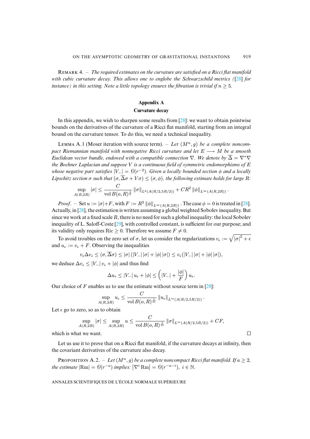R 4. – *The required estimates on the curvature are satisfied on a Ricci flat manifold with cubic curvature decay. This allows one to englobe the Schwarzschild metrics (*[28] *for instance) in this setting. Note a little topology ensures the fibration is trivial if*  $n \geq 5$ *.* 

# **Appendix A**

## **Curvature decay**

<span id="page-37-0"></span>In this appendix, we wish to sharpen some results from  $[28]$ : we want to obtain pointwise bounds on the derivatives of the curvature of a Ricci flat manifold, starting from an integral bound on the curvature tensor. To do this, we need a technical inequality.

LEMMA A.1 (Moser iteration with source term). – Let  $(M^n, g)$  be a complete noncom*pact Riemannian manifold with nonnegative Ricci curvature and let* E → M *be a smooth Euclidean vector bundle, endowed with a compatible connection*  $\nabla$ *. We denote by*  $\overline{\Delta} = \nabla^* \nabla$ *the Bochner Laplacian and suppose* V *is a continuous field of symmetric endomorphisms of* E *whose negative part satisfies*  $|V_{-}| = Θ(r^{-2})$ . Given a locally bounded section  $φ$  and a locally *Lipschitz section*  $\sigma$  *such that*  $(\sigma, \overline{\Delta}\sigma + V\sigma) \leq (\sigma, \phi)$ *, the following estimate holds for large [R](#page-42-6):* 

$$
\sup_{A(R,2R)} |\sigma| \leq \frac{C}{\text{vol } B(o,R)^{\frac{1}{2}}} ||\sigma||_{L^2(A(R/2,5R/2))} + CR^2 ||\phi||_{L^{\infty}(A(R,2R))}.
$$

*Proof.* – Set  $u := |\sigma| + F$ , [with](#page-42-12)  $F := R^2 ||\phi||_{L^\infty(A(R, 2R))}$ . The case  $\phi = 0$  is treated in [28]. Actually, in [28], the estimation is written assuming a global weighted Sobolev inequality. But since we work at a fixed scale  $R$ , there is no need for such a global inequality: the local Sobolev inequality of L. Saloff-Coste [29], with controlled constant, is sufficient for our purpose; and its validity only requires Ric  $\geq 0$ . Therefore we assume  $F \neq 0$ .

To avoid troubles on the zero set of  $\sigma$ , let us consider the regularizations  $v_{\epsilon} := \sqrt{|\sigma|^2 + \epsilon}$ and  $u_{\epsilon} := v_{\epsilon} + F$ . Observing the inequalities

 $v_{\epsilon} \Delta v_{\epsilon} \leq (\sigma, \overline{\Delta} \sigma) \leq |\sigma| (|V_-| |\sigma| + |\phi| |\sigma|) \leq v_{\epsilon} (|V_-| |\sigma| + |\phi| |\sigma|),$ 

we deduce  $\Delta v_{\epsilon} \leq |V_-| v_{\epsilon} + |\phi|$  and thus find

$$
\Delta u_{\epsilon} \leq |V_-| u_{\epsilon} + |\phi| \leq \left(|V_-| + \frac{|\phi|}{F}\right) u_{\epsilon}.
$$

Our choice of F enables us to use the estimate without source term in  $[28]$ :

$$
\sup_{A(R,2R)} u_{\epsilon} \leq \frac{C}{\text{vol }B(o,R)^{\frac{1}{m}}}\left\|u_{\epsilon}\right\|_{L^{m}(A(R/2,5R/2))}.
$$

Let  $\epsilon$  go to zero, so as to obtain

$$
\sup_{A(R, 2R)} |\sigma| \le \sup_{A(R, 2R)} u \le \frac{C}{\text{vol } B(o, R)^{\frac{1}{m}}} ||\sigma||_{L^m(A(R/2, 5R/2))} + CF,
$$

 $\Box$ 

which is what we want.

Let us use it to prove that on a Ricci flat manifold, if the curvature decays at infinity, then the covariant derivatives of the curvature also decay.

PROPOSITION A.2. – Let  $(M^n, g)$  be a complete noncompact Ricci flat manifold. If  $a \geq 2$ , the estimate  $|\text{Rm}| = \Theta(r^{-a})$  implies:  $|\nabla^i \text{Rm}| = \Theta(r^{-a-i}), i \in \mathbb{N}$ .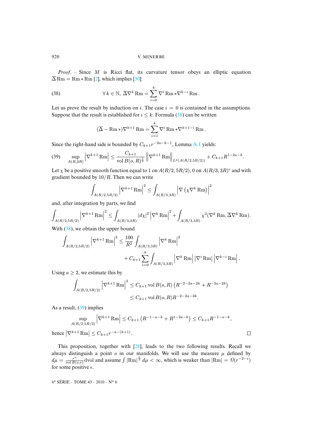<span id="page-38-0"></span>*Proof*. – Since M is Ricci flat, its curvature tensor obeys an elliptic equation  $\overline{\Delta}$  Rm = Rm  $*$  Rm [2], which implies [30]:

(38) 
$$
\forall k \in \mathbb{N}, \ \overline{\Delta} \nabla^k \operatorname{Rm} = \sum_{i=0}^k \nabla^i \operatorname{Rm} * \nabla^{k-i} \operatorname{Rm}.
$$

Let us prove the result by induction on i. The case  $i = 0$  is contained in the assumptions. Suppose that the result is established for  $i \leq k$ . Formula (38) can be written

$$
(\overline{\Delta} - \operatorname{Rm} *) \nabla^{k+1} \operatorname{Rm} = \sum_{i=1}^k \nabla^i \operatorname{Rm} * \nabla^{k+1-i} \operatorname{Rm}.
$$

<span id="page-38-1"></span>Since the right-hand side is bounded by  $C_{k+1}r^{-2a-k-1}$ , Lemma A.1 yields:

$$
(39) \quad \sup_{A(R,2R)} \left| \nabla^{k+1} \operatorname{Rm} \right| \leq \frac{C_{k+1}}{\operatorname{vol} B(o,R)^{\frac{1}{2}}} \left\| \nabla^{k+1} \operatorname{Rm} \right\|_{L^2(A(R/2,5R/2))} + C_{k+1} R^{1-2a-k}.
$$

Let  $\chi$  be a positive smooth function equal to 1 on  $A(R/2, 5R/2)$ , 0 on  $A(R/3, 3R)^c$  and with gradient bounded by  $10/R$ . Then we can write

$$
\int_{A(R/2,5R/2)}\left|\nabla^{k+1}\operatorname{Rm}\right|^2\leq\int_{A(R/3,3R)}\left|\nabla\left(\chi\nabla^k\operatorname{Rm}\right)\right|^2
$$

and, [after](#page-38-0) integration by parts, we find

$$
\int_{A(R/2,5R/2)} \left|\nabla^{k+1} \operatorname{Rm}\right|^2 \le \int_{A(R/3,3R)} \left|d\chi\right|^2 \left|\nabla^k \operatorname{Rm}\right|^2 + \int_{A(R/3,3R)} \chi^2(\nabla^k \operatorname{Rm},\overline{\Delta} \nabla^k \operatorname{Rm}).
$$

With  $(38)$ , we obtain the upper bound

$$
\begin{split} \int_{A(R/2,5R/2)}\left|\nabla^{k+1}\operatorname{Rm}\right|^{2} &\leq \frac{100}{R^{2}}\int_{A(R/3,3R)}\left|\nabla^{k}\operatorname{Rm}\right|^{2} \\ &\qquad \qquad + C_{k+1}\sum_{i=0}^{k}\int_{A(R/3,3R)}\left|\nabla^{k}\operatorname{Rm}\right|\left|\nabla^{i}\operatorname{Rm}\right|\left|\nabla^{k-i}\operatorname{Rm}\right|. \end{split}
$$

Using  $a \geq 2$ , we estimate this by

$$
\int_{A(R/2,5R/2)} \left| \nabla^{k+1} \operatorname{Rm} \right|^2 \le C_{k+1} \operatorname{vol} B(o,R) \left( R^{-2-2a-2k} + R^{-3a-2k} \right)
$$
  

$$
\le C_{k+1} \operatorname{vol} B(o,R) R^{-2-2a-2k}.
$$

As a result,  $(39)$  implies

$$
\sup_{A(R/2,5R/2)} |\nabla^{k+1} \text{Rm}| \le C_{k+1} \left( R^{-1-a-k} + R^{1-2a-k} \right) \le C_{k+1} R^{-1-a-k},
$$
  
hence  $|\nabla^{k+1} \text{Rm}| \le C_{k+1} r^{-a-(k+1)}$ .

This proposition, together with [28], leads to the two following results. Recall we always distinguish a point  $\sigma$  in our manifolds. We will use the measure  $\mu$  defined by  $d\mu = \frac{r^n}{\text{vol }B}$  $\frac{r^n}{\text{vol }B(o,r)}$  dvol and assume  $\int |\text{Rm}|^{\frac{n}{2}} d\mu < \infty$ , which is weaker than  $|\text{Rm}| = \Theta(r^{-2-\epsilon})$ for some positive  $\epsilon$ .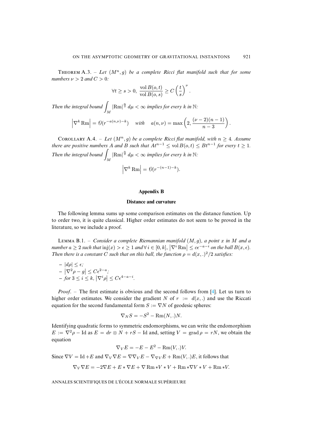THEOREM A.3. – Let  $(M^n, g)$  be a complete Ricci flat manifold such that for some *numbers*  $\nu > 2$  *and*  $C > 0$ *:* 

$$
\forall t \geq s > 0, \ \frac{\mathop{\rm vol}\nolimits B(o,t)}{\mathop{\rm vol}\nolimits B(o,s)} \geq C \left(\frac{t}{s}\right)^{\nu}.
$$

<span id="page-39-0"></span>*Then the integral bound* M  $|\text{Rm}|^{\frac{n}{2}} d\mu < \infty$  *implies for every k in* N:

$$
\left|\nabla^k \operatorname{Rm}\right| = \mathcal{O}(r^{-a(n,\nu)-k}) \quad \text{with} \quad a(n,\nu) = \max\left(2, \frac{(\nu-2)(n-1)}{n-3}\right).
$$

COROLLARY A.4. – *Let*  $(M^n, g)$  *be a complete Ricci flat manifold, with*  $n \geq 4$ *. Assume there are positive numbers* A and B such that  $At^{n-1} \leq \text{vol } B(o, t) \leq Bt^{n-1}$  for every  $t \geq 1$ . *Then the integral bound* M  $|\text{Rm}|^{\frac{n}{2}} d\mu < \infty$  *implies for every k in* N:  $\left|\nabla^k \text{Rm}\right| = \mathcal{O}(r^{-(n-1)-k}).$ 

## **Appendix B**

## **Distance and curvature**

The following lemma sums up some comparison estimates on the distance function. Up to order two, it is quite classical. Higher order estimates do not seem to be proved in the literature, so we include a proof.

LEMMA B.1. – *Consider a complete Riemannian manifold*  $(M, g)$ *, a point* x *in* M and a  $\mathsf{number}\ a \geq 2 \ \text{such that} \ \mathrm{inj}(x) > \epsilon \geq 1 \ \text{and} \ \forall \ i \in [0,k], \ |\nabla^i \ \mathrm{Rm} | \leq c \epsilon^{-a-i} \ \text{on the ball } B(x,\epsilon).$ *Then there is a constant C such that on this ball, the function*  $\rho = d(x,.)^2/2$  *satisfies:* 

$$
- |d\rho| \le \epsilon;
$$
  
-  $|\nabla^2 \rho - g| \le C\epsilon^{2-a};$   
- *for*  $3 \le i \le k, |\nabla^i \rho| \le C\epsilon^{4-a-i}.$ 

*Proof*. – The first estimate is obvious and the second follows from [4]. Let us turn to higher order estimates. We consider the gradient N of  $r := d(x,.)$  and use the Riccati equation for the second fundamental form  $S := \nabla N$  of geodesic spheres:

$$
\nabla_N S = -S^2 - \text{Rm}(N,.)N.
$$

Identifying quadratic forms to symmetric endomorphisms, we can write the endomorphism  $E := \nabla^2 \rho - \text{Id}$  as  $E = dr \otimes N + rS - \text{Id}$  and, setting  $V = \text{grad } \rho = rN$ , we obtain the equation

$$
\nabla_V E = -E - E^2 - \text{Rm}(V,.)V.
$$

Since  $\nabla V = \text{Id} + E$  and  $\nabla_V \nabla E = \nabla \nabla_V E - \nabla_{\nabla V} E + \text{Rm}(V,.)E$ , it follows that

$$
\nabla_V \nabla E = -2\nabla E + E * \nabla E + \nabla \operatorname{Rm} * V * V + \operatorname{Rm} * \nabla V * V + \operatorname{Rm} * V.
$$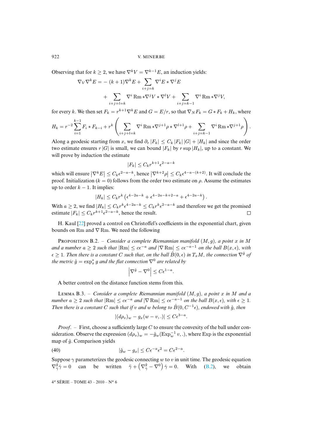Observing that for  $k > 2$ , we have  $\nabla^k V = \nabla^{k-1} E$ , an induction yields:

$$
\nabla_V \nabla^k E = -(k+1) \nabla^k E + \sum_{i+j=k} \nabla^i E * \nabla^j E
$$
  
+ 
$$
\sum_{i+j+l=k} \nabla^i \operatorname{Rm} * \nabla^j V * \nabla^l V + \sum_{i+j=k-1} \nabla^i \operatorname{Rm} * \nabla^j V,
$$

for every k. We then set  $F_k = r^{k+1} \nabla^k E$  and  $G = E/r$ , so that  $\nabla_N F_k = G \ast F_k + H_k$ , where

$$
H_k = r^{-2} \sum_{i=1}^{k-1} F_i * F_{k-i} + r^k \left( \sum_{i+j+l=k} \nabla^i \operatorname{Rm} * \nabla^{j+1} \rho * \nabla^{l+1} \rho + \sum_{i+j=k-1} \nabla^i \operatorname{Rm} * \nabla^{j+1} \rho \right).
$$

Along a geodesic starting from x, we find  $\partial_r |F_k| \leq C_k |F_k| |G| + |H_k|$  and since the order two estimate ensures r |G| is small, we can bound  $|F_k|$  by r sup  $|H_k|$ , up to a constant. We will prove by induction the estimate

$$
|F_k| \le C_k r^{k+1} \epsilon^{2-a-k}
$$

which will ensure  $|\nabla^k E| \leq C_k \epsilon^{2-a-k}$ , hence  $|\nabla^{k+2} \rho| \leq C_k \epsilon^{4-a-(k+2)}$ . It will conclude the proof. Initialization ( $k = 0$ ) follows from the order two estimate on  $\rho$ . Assume the estimates up to order  $k - 1$ . It implies:

$$
|H_k| \le C_k r^k \left( \epsilon^{4-2a-k} + \epsilon^{4-2a-k+2-a} + \epsilon^{4-2a-k} \right).
$$

With  $a \ge 2$ , [we](#page-42-14) find  $|H_k| \le C_k r^k \epsilon^{4-2a-k} \le C_k r^k \epsilon^{2-a-k}$  and therefore we get the promised estimate  $|F_k| \leq C_k r^{k+1} \epsilon^{2-a-k}$ , hence the result.

<span id="page-40-1"></span>H. Kaul [22] proved a control on Christoffel's coefficients in the exponential chart, given bounds on Rm and ∇ Rm. We need the following

P B.2. – *Consider a complete Riemannian manifold* (M, g)*, a point* x *in* M *and a number*  $a \geq 2$  *such that*  $|\text{Rm}| \leq c\epsilon^{-a}$  *and*  $|\nabla \text{Rm}| \leq c\epsilon^{-a-1}$  *on the ball*  $B(x, \epsilon)$ *, with*  $\epsilon > 1$ . Then there is a constant C such that, on the ball  $\hat{B}(0,\epsilon)$  in  $T_xM$ , the connection  $\nabla^{\hat{g}}$  of the metric  $\hat{g} = \exp_x^* g$  and the flat connection  $\nabla^0$  are related by

$$
\left|\nabla^{\hat{g}} - \nabla^0\right| \le C\epsilon^{1-a}.
$$

<span id="page-40-0"></span>A better control on the distance function stems from this.

LEMMA B.3. – *Consider a complete Riemannian manifold*  $(M, g)$ *, a point* x *in* M and a *number*  $a \geq 2$  *such that*  $|\text{Rm}| \leq c\epsilon^{-a}$  *and*  $|\nabla \text{Rm}| \leq c\epsilon^{-a-1}$  *on the ball*  $B(x, \epsilon)$ *, with*  $\epsilon \geq 1$ *. Then there is a constant* C *such that if* v *and* w *belong to*  $\hat{B}(0, C^{-1} \epsilon)$ *, endowed with*  $\hat{g}$ *, then* 

$$
|(d\rho_v)_w - g_x(w - v,.)| \leq C\epsilon^{3-a}.
$$

*Proof.* – First, choose a sufficiently large C to ensure the convexity of the ball under consideration. Observe the expression  $(d\rho_v)_w = -\hat{g}_w(\mathrm{Exp}_w^{-1} v,.)$ , where Exp is the exponential map of  $\hat{q}$ . Comparison yields

(40) 
$$
|\hat{g}_w - g_x| \leq C \epsilon^{-a} \epsilon^2 = C \epsilon^{2-a}.
$$

Suppose  $\gamma$  parameterizes the geodesic connecting w to v in unit time. The geodesic equation  $\nabla^{\hat{g}}_{\hat{\gamma}}\dot{\gamma}=0$  can be written  $\ddot{\gamma}+\left(\nabla^{\hat{g}}_{\dot{\gamma}}-\nabla^0\right)\dot{\gamma}=0$ . With (B.2), we obtain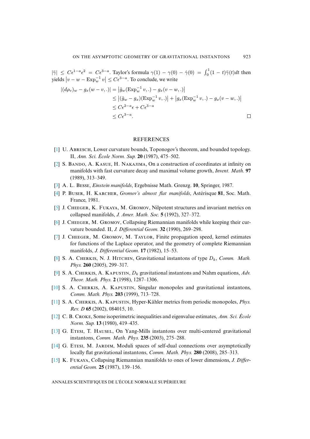$|\ddot{\gamma}| \leq C \epsilon^{1-a} \epsilon^2 = C \epsilon^{3-a}$ . Taylor's formula  $\gamma(1) - \gamma(0) - \dot{\gamma}(0) = \int_0^1 (1-t)\ddot{\gamma}(t)dt$  then yields  $|v - w - \text{Exp}_w^{-1} v| \leq C \epsilon^{3-a}$ . To conclude, we write

$$
|(d\rho_v)_w - g_x(w - v,.)| = |\hat{g}_w(\text{Exp}_w^{-1} v,.) - g_x(v - w,.)|
$$
  
\n
$$
\leq |(\hat{g}_w - g_x)(\text{Exp}_w^{-1} v,.)| + |g_x(\text{Exp}_w^{-1} v,.) - g_x(v - w,.)|
$$
  
\n
$$
\leq C\epsilon^{2-a}\epsilon + C\epsilon^{3-a}
$$
  
\n
$$
\leq C\epsilon^{3-a}.
$$

# **REFERENCES**

- <span id="page-41-8"></span><span id="page-41-7"></span>[1] U. ABRESCH, Lower curvature bounds, Toponogov's theorem, and bounded topology. II, *Ann. Sci. École Norm. Sup.* **20** (1987), 475–502.
- <span id="page-41-13"></span><span id="page-41-0"></span> $[2]$  S. BANDO, A. KASUE, H. NAKAJIMA, On a construction of coordinates at infinity on manifolds with fast curvature decay and maximal volume growth, *Invent. Math.* **97** (1989), 313–349.
- <span id="page-41-10"></span>[\[3\]](http://smf.emath.fr/Publications/AnnalesENS/4_43/html/ens_ann-sc_43_6.html#5) A. L. BESSE, *Einstein manifolds*, Ergebnisse Math. Grenzg. 10, Springer, 1987.
- <span id="page-41-9"></span>[4] P. BUSER, H. KARCHER, *Gromov's almost flat manifolds*, Astérisque 81, Soc. Math. France, 1981.
- <span id="page-41-12"></span>[5] J. CHEEGER, K. FUKAYA, M. GROMOV, Nilpotent structures and invariant metrics on collapsed manifolds, *J. Amer. Math. Soc.* **5** (1992), 327–372.
- $[6]$  J. CHEEGER, M. GROMOV, Collapsing Riemannian manifolds while keeping their curvature bounded. II, *J. Differential Geom.* **32** (1990), 269–298.
- <span id="page-41-1"></span>[\[7\]](http://smf.emath.fr/Publications/AnnalesENS/4_43/html/ens_ann-sc_43_6.html#8) J. CHEEGER, M. GROMOV, M. TAYLOR, Finite propagation speed, kernel estimates for functions of the Laplace operator, and the geometry of complete Riemannian manifolds, *J. Differential Geom.* **17** (1982), 15–53.
- <span id="page-41-3"></span><span id="page-41-2"></span>[8] S. A. CHERKIS, N. J. HITCHIN, Gravitational instantons of type  $D_k$ , *Comm. Math. Phys.* **260** (2005), 299–317.
- [9] S. A. CHERKIS, A. KAPUSTIN,  $D_k$  gravitational instantons and Nahm equations, *Adv. Theor. Math. Phys.* **2** (1998), 1287–1306.
- <span id="page-41-11"></span><span id="page-41-4"></span>[10] S. A. CHERKIS, A. KAPUSTIN, Singular monopoles and gravitational instantons, *Comm. Math. Phys.* **203** (1999), 713–728.
- <span id="page-41-5"></span>[11] S. A. CHERKIS, A. KAPUSTIN, Hyper-Kähler metrics from periodic monopoles, *Phys. Rev. D* **65** (2002), 084015, 10.
- <span id="page-41-6"></span>[12] C. B. C, Some isoperimetric inequalities and eigenvalue estimates, *Ann. Sci. École Norm. Sup.* **13** (1980), 419–435.
- <span id="page-41-14"></span>[13] G. ETESI, T. HAUSEL, On Yang-Mills instantons over multi-centered gravitational instantons, *Comm. Math. Phys.* **235** (2003), 275–288.
- [14] G. ETESI, M. JARDIM, Moduli spaces of self-dual connections over asymptotically locally flat gravitational instantons, *Comm. Math. Phys.* **280** (2008), 285–313.
- [15] K. Fukaya, Collapsing Riemannian manifolds to ones of lower dimensions, *J. Differential Geom.* **25** (1987), 139–156.